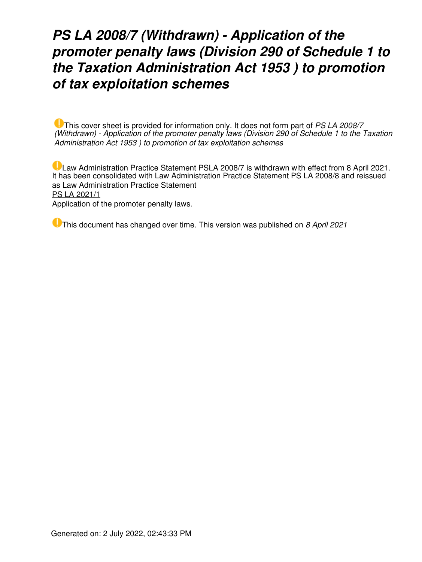# *PS LA 2008/7 (Withdrawn) - Application of the promoter penalty laws (Division 290 of Schedule 1 to the Taxation Administration Act 1953 ) to promotion of tax exploitation schemes*

This cover sheet is provided for information only. It does not form part of *PS LA 2008/7 (Withdrawn) - Application of the promoter penalty laws (Division 290 of Schedule 1 to the Taxation Administration Act 1953 ) to promotion of tax exploitation schemes*

Law Administration Practice Statement PSLA 2008/7 is withdrawn with effect from 8 April 2021. It has been consolidated with Law Administration Practice Statement PS LA 2008/8 and reissued as Law Administration Practice Statement [PS LA 2021/1](https://www.ato.gov.au/law/view/document?LocID=%22PSR%2FPS20211%2FNAT%2FATO%22&PiT=99991231235958) Application of the promoter penalty laws.

This document has changed over time. This version was published on *8 April 2021*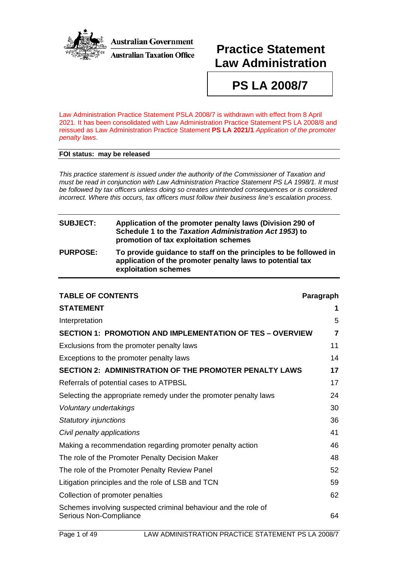

**Australian Government Australian Taxation Office** 

# **Practice Statement Law Administration**

**PS LA 2008/7**

Law Administration Practice Statement PSLA 2008/7 is withdrawn with effect from 8 April 2021. It has been consolidated with Law Administration Practice Statement PS LA 2008/8 and reissued as Law Administration Practice Statement **PS [LA 2021/1](http://ato.gov.au/law/view/document?DocID=PSR/PS20211/NAT/ATO/00001)** *Application of the promoter penalty laws*.

#### **FOI status: may be released**

*This practice statement is issued under the authority of the Commissioner of Taxation and must be read in conjunction with Law Administration Practice Statement PS LA 1998/1. It must be followed by tax officers unless doing so creates unintended consequences or is considered incorrect. Where this occurs, tax officers must follow their business line's escalation process.*

## **SUBJECT: Application of the promoter penalty laws (Division 290 of Schedule 1 to the** *Taxation Administration Act 1953***) to promotion of tax exploitation schemes PURPOSE: To provide guidance to staff on the principles to be followed in**

**application of the promoter penalty laws to potential tax exploitation schemes**

| <b>TABLE OF CONTENTS</b>                                                                 | Paragraph      |
|------------------------------------------------------------------------------------------|----------------|
| <b>STATEMENT</b>                                                                         | 1              |
| Interpretation                                                                           | 5              |
| <b>SECTION 1: PROMOTION AND IMPLEMENTATION OF TES - OVERVIEW</b>                         | $\overline{7}$ |
| Exclusions from the promoter penalty laws                                                | 11             |
| Exceptions to the promoter penalty laws                                                  | 14             |
| <b>SECTION 2: ADMINISTRATION OF THE PROMOTER PENALTY LAWS</b>                            | 17             |
| Referrals of potential cases to ATPBSL                                                   | 17             |
| Selecting the appropriate remedy under the promoter penalty laws                         | 24             |
| Voluntary undertakings                                                                   | 30             |
| Statutory injunctions                                                                    | 36             |
| Civil penalty applications                                                               | 41             |
| Making a recommendation regarding promoter penalty action                                | 46             |
| The role of the Promoter Penalty Decision Maker                                          | 48             |
| The role of the Promoter Penalty Review Panel                                            | 52             |
| Litigation principles and the role of LSB and TCN                                        | 59             |
| Collection of promoter penalties                                                         | 62             |
| Schemes involving suspected criminal behaviour and the role of<br>Serious Non-Compliance | 64             |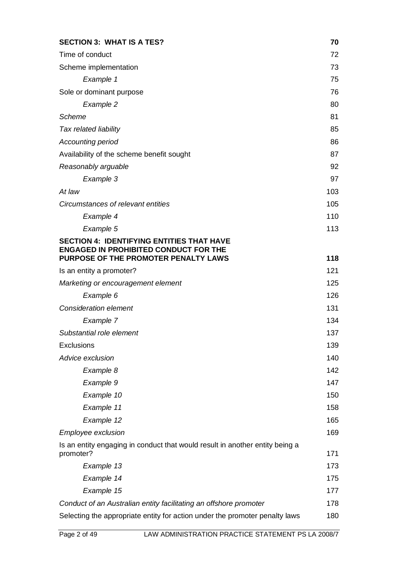| <b>SECTION 3: WHAT IS A TES?</b>                                                     | 70  |
|--------------------------------------------------------------------------------------|-----|
| Time of conduct                                                                      | 72  |
| Scheme implementation                                                                | 73  |
| Example 1                                                                            | 75  |
| Sole or dominant purpose                                                             | 76  |
| Example 2                                                                            | 80  |
| Scheme                                                                               | 81  |
| Tax related liability                                                                | 85  |
| Accounting period                                                                    | 86  |
| Availability of the scheme benefit sought                                            | 87  |
| Reasonably arguable                                                                  | 92  |
| Example 3                                                                            | 97  |
| At law                                                                               | 103 |
| Circumstances of relevant entities                                                   | 105 |
| Example 4                                                                            | 110 |
| Example 5                                                                            | 113 |
| <b>SECTION 4: IDENTIFYING ENTITIES THAT HAVE</b>                                     |     |
| <b>ENGAGED IN PROHIBITED CONDUCT FOR THE</b><br>PURPOSE OF THE PROMOTER PENALTY LAWS | 118 |
| Is an entity a promoter?                                                             | 121 |
| Marketing or encouragement element                                                   | 125 |
| Example 6                                                                            | 126 |
| <b>Consideration element</b>                                                         | 131 |
| Example 7                                                                            | 134 |
| Substantial role element                                                             | 137 |
| Exclusions                                                                           | 139 |
| Advice exclusion                                                                     | 140 |
| Example 8                                                                            | 142 |
| Example 9                                                                            | 147 |
| Example 10                                                                           | 150 |
| Example 11                                                                           | 158 |
| Example 12                                                                           | 165 |
| <b>Employee exclusion</b>                                                            | 169 |
| Is an entity engaging in conduct that would result in another entity being a         |     |
| promoter?                                                                            | 171 |
| Example 13                                                                           | 173 |
| Example 14                                                                           | 175 |
| Example 15                                                                           | 177 |
| Conduct of an Australian entity facilitating an offshore promoter                    | 178 |
| Selecting the appropriate entity for action under the promoter penalty laws          | 180 |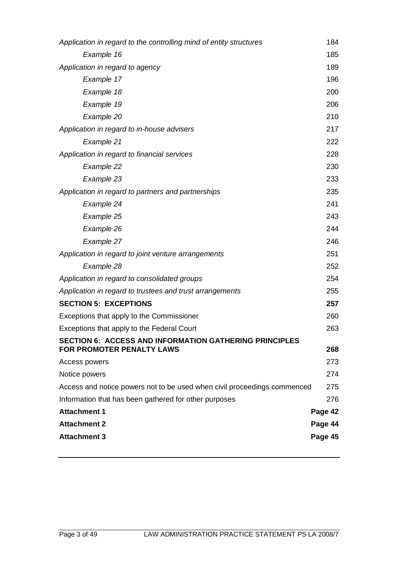| Application in regard to the controlling mind of entity structures                                | 184     |
|---------------------------------------------------------------------------------------------------|---------|
| Example 16                                                                                        | 185     |
| Application in regard to agency                                                                   | 189     |
| Example 17                                                                                        | 196     |
| Example 18                                                                                        | 200     |
| Example 19                                                                                        | 206     |
| Example 20                                                                                        | 210     |
| Application in regard to in-house advisers                                                        | 217     |
| Example 21                                                                                        | 222     |
| Application in regard to financial services                                                       | 228     |
| Example 22                                                                                        | 230     |
| Example 23                                                                                        | 233     |
| Application in regard to partners and partnerships                                                | 235     |
| Example 24                                                                                        | 241     |
| Example 25                                                                                        | 243     |
| Example 26                                                                                        | 244     |
| Example 27                                                                                        | 246     |
| Application in regard to joint venture arrangements                                               | 251     |
| Example 28                                                                                        | 252     |
| Application in regard to consolidated groups                                                      | 254     |
| Application in regard to trustees and trust arrangements                                          | 255     |
| <b>SECTION 5: EXCEPTIONS</b>                                                                      | 257     |
| Exceptions that apply to the Commissioner                                                         | 260     |
| Exceptions that apply to the Federal Court                                                        | 263     |
| <b>SECTION 6: ACCESS AND INFORMATION GATHERING PRINCIPLES</b><br><b>FOR PROMOTER PENALTY LAWS</b> | 268     |
| Access powers                                                                                     | 273     |
| Notice powers                                                                                     | 274     |
| Access and notice powers not to be used when civil proceedings commenced                          | 275     |
| Information that has been gathered for other purposes                                             | 276     |
| <b>Attachment 1</b>                                                                               | Page 42 |
| <b>Attachment 2</b>                                                                               | Page 44 |
| <b>Attachment 3</b>                                                                               | Page 45 |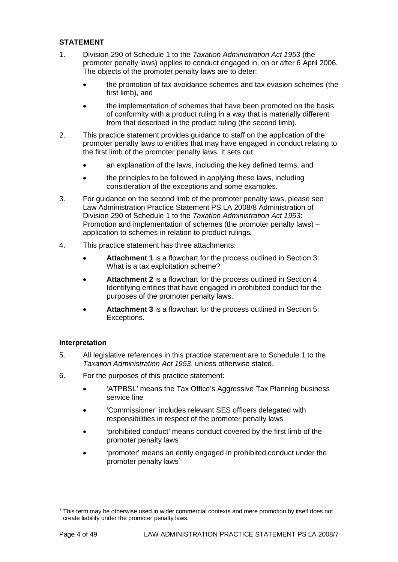## **STATEMENT**

- 1. Division 290 of Schedule 1 to the *Taxation Administration Act 1953* (the promoter penalty laws) applies to conduct engaged in, on or after 6 April 2006. The objects of the promoter penalty laws are to deter:
	- the promotion of tax avoidance schemes and tax evasion schemes (the first limb), and
	- the implementation of schemes that have been promoted on the basis of conformity with a product ruling in a way that is materially different from that described in the product ruling (the second limb).
- 2. This practice statement provides guidance to staff on the application of the promoter penalty laws to entities that may have engaged in conduct relating to the first limb of the promoter penalty laws. It sets out:
	- an explanation of the laws, including the key defined terms, and
	- the principles to be followed in applying these laws, including consideration of the exceptions and some examples.
- 3. For guidance on the second limb of the promoter penalty laws, please see Law Administration Practice Statement PS LA 2008/8 Administration of Division 290 of Schedule 1 to the *Taxation Administration Act 1953*: Promotion and implementation of schemes (the promoter penalty laws) – application to schemes in relation to product rulings*.*
- 4. This practice statement has three attachments:
	- **Attachment 1** is a flowchart for the process outlined in Section 3: What is a tax exploitation scheme?
	- **Attachment 2** is a flowchart for the process outlined in Section 4: Identifying entities that have engaged in prohibited conduct for the purposes of the promoter penalty laws.
	- **Attachment 3** is a flowchart for the process outlined in Section 5: Exceptions.

## **Interpretation**

- 5. All legislative references in this practice statement are to Schedule 1 to the *Taxation Administration Act 1953*, unless otherwise stated.
- 6. For the purposes of this practice statement:
	- 'ATPBSL' means the Tax Office's Aggressive Tax Planning business service line
	- 'Commissioner' includes relevant SES officers delegated with responsibilities in respect of the promoter penalty laws
	- 'prohibited conduct' means conduct covered by the first limb of the promoter penalty laws
	- 'promoter' means an entity engaged in prohibited conduct under the promoter penalty laws<sup>1</sup>

<span id="page-4-0"></span><sup>1</sup> This term may be otherwise used in wider commercial contexts and mere promotion by itself does not create liability under the promoter penalty laws.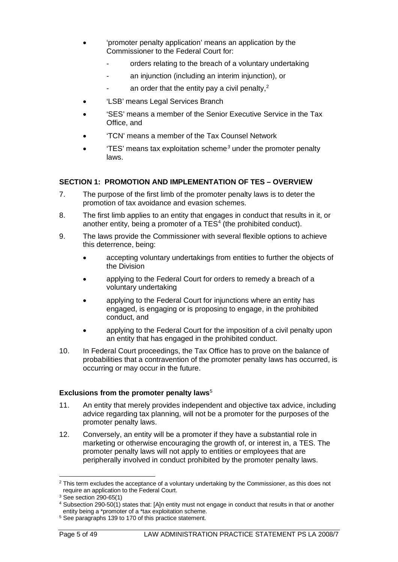- 'promoter penalty application' means an application by the Commissioner to the Federal Court for:
	- orders relating to the breach of a voluntary undertaking
	- an injunction (including an interim injunction), or
	- an order that the entity pay a civil penalty,<sup>[2](#page-5-0)</sup>
- 'LSB' means Legal Services Branch
- 'SES' means a member of the Senior Executive Service in the Tax Office, and
- 'TCN' means a member of the Tax Counsel Network
- 'TES' means tax exploitation scheme*[3](#page-5-1)* under the promoter penalty laws.

## **SECTION 1: PROMOTION AND IMPLEMENTATION OF TES – OVERVIEW**

- 7. The purpose of the first limb of the promoter penalty laws is to deter the promotion of tax avoidance and evasion schemes.
- 8. The first limb applies to an entity that engages in conduct that results in it, or another entity, being a promoter of a  $TES<sup>4</sup>$  (the prohibited conduct).
- 9. The laws provide the Commissioner with several flexible options to achieve this deterrence, being:
	- accepting voluntary undertakings from entities to further the objects of the Division
	- applying to the Federal Court for orders to remedy a breach of a voluntary undertaking
	- applying to the Federal Court for injunctions where an entity has engaged, is engaging or is proposing to engage, in the prohibited conduct, and
	- applying to the Federal Court for the imposition of a civil penalty upon an entity that has engaged in the prohibited conduct.
- 10. In Federal Court proceedings, the Tax Office has to prove on the balance of probabilities that a contravention of the promoter penalty laws has occurred, is occurring or may occur in the future.

#### **Exclusions from the promoter penalty laws**<sup>[5](#page-5-3)</sup>

- 11. An entity that merely provides independent and objective tax advice, including advice regarding tax planning, will not be a promoter for the purposes of the promoter penalty laws.
- 12. Conversely, an entity will be a promoter if they have a substantial role in marketing or otherwise encouraging the growth of, or interest in, a TES. The promoter penalty laws will not apply to entities or employees that are peripherally involved in conduct prohibited by the promoter penalty laws.

<span id="page-5-0"></span><sup>&</sup>lt;sup>2</sup> This term excludes the acceptance of a voluntary undertaking by the Commissioner, as this does not require an application to the Federal Court.

 $3$  See section 290-65(1)

<span id="page-5-2"></span><span id="page-5-1"></span><sup>4</sup> Subsection 290-50(1) states that: [A]n entity must not engage in conduct that results in that or another entity being a \*promoter of a \*tax exploitation scheme.

<span id="page-5-3"></span><sup>5</sup> See paragraphs 139 to 170 of this practice statement.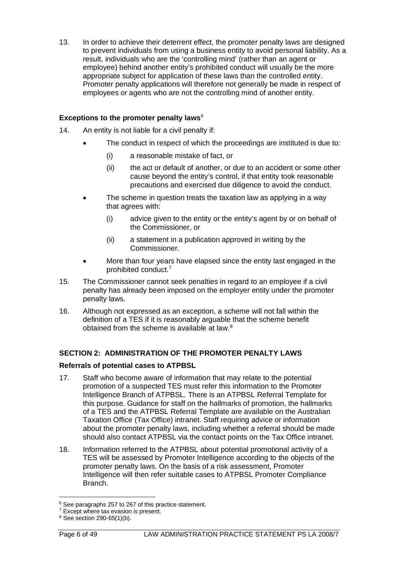13. In order to achieve their deterrent effect, the promoter penalty laws are designed to prevent individuals from using a business entity to avoid personal liability. As a result, individuals who are the 'controlling mind' (rather than an agent or employee) behind another entity's prohibited conduct will usually be the more appropriate subject for application of these laws than the controlled entity. Promoter penalty applications will therefore not generally be made in respect of employees or agents who are not the controlling mind of another entity.

## **Exceptions to the promoter penalty laws**[6](#page-6-0)

- 14. An entity is not liable for a civil penalty if:
	- The conduct in respect of which the proceedings are instituted is due to:
		- (i) a reasonable mistake of fact, or
		- (ii) the act or default of another, or due to an accident or some other cause beyond the entity's control, if that entity took reasonable precautions and exercised due diligence to avoid the conduct.
	- The scheme in question treats the taxation law as applying in a way that agrees with:
		- (i) advice given to the entity or the entity's agent by or on behalf of the Commissioner, or
		- (ii) a statement in a publication approved in writing by the Commissioner.
	- More than four years have elapsed since the entity last engaged in the prohibited conduct.[7](#page-6-1)
- 15. The Commissioner cannot seek penalties in regard to an employee if a civil penalty has already been imposed on the employer entity under the promoter penalty laws.
- 16. Although not expressed as an exception, a scheme will not fall within the definition of a TES if it is reasonably arguable that the scheme benefit obtained from the scheme is available at law.[8](#page-6-2)

## **SECTION 2: ADMINISTRATION OF THE PROMOTER PENALTY LAWS**

## **Referrals of potential cases to ATPBSL**

- 17. Staff who become aware of information that may relate to the potential promotion of a suspected TES must refer this information to the Promoter Intelligence Branch of ATPBSL. There is an ATPBSL Referral Template for this purpose. Guidance for staff on the hallmarks of promotion, the hallmarks of a TES and the ATPBSL Referral Template are available on the Australian Taxation Office (Tax Office) intranet. Staff requiring advice or information about the promoter penalty laws, including whether a referral should be made should also contact ATPBSL via the contact points on the Tax Office intranet.
- 18. Information referred to the ATPBSL about potential promotional activity of a TES will be assessed by Promoter Intelligence according to the objects of the promoter penalty laws. On the basis of a risk assessment, Promoter Intelligence will then refer suitable cases to ATPBSL Promoter Compliance Branch.

<span id="page-6-0"></span><sup>&</sup>lt;sup>6</sup> See paragraphs 257 to 267 of this practice statement.

<span id="page-6-1"></span><sup>&</sup>lt;sup>7</sup> Except where tax evasion is present.

<span id="page-6-2"></span> $8$  See section 290-65(1)(b).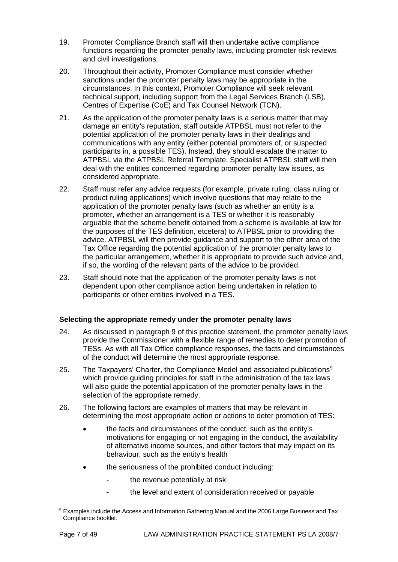- 19. Promoter Compliance Branch staff will then undertake active compliance functions regarding the promoter penalty laws, including promoter risk reviews and civil investigations.
- 20. Throughout their activity, Promoter Compliance must consider whether sanctions under the promoter penalty laws may be appropriate in the circumstances. In this context, Promoter Compliance will seek relevant technical support, including support from the Legal Services Branch (LSB), Centres of Expertise (CoE) and Tax Counsel Network (TCN).
- 21. As the application of the promoter penalty laws is a serious matter that may damage an entity's reputation, staff outside ATPBSL must not refer to the potential application of the promoter penalty laws in their dealings and communications with any entity (either potential promoters of, or suspected participants in, a possible TES). Instead, they should escalate the matter to ATPBSL via the ATPBSL Referral Template. Specialist ATPBSL staff will then deal with the entities concerned regarding promoter penalty law issues, as considered appropriate.
- 22. Staff must refer any advice requests (for example, private ruling, class ruling or product ruling applications) which involve questions that may relate to the application of the promoter penalty laws (such as whether an entity is a promoter, whether an arrangement is a TES or whether it is reasonably arguable that the scheme benefit obtained from a scheme is available at law for the purposes of the TES definition, etcetera) to ATPBSL prior to providing the advice. ATPBSL will then provide guidance and support to the other area of the Tax Office regarding the potential application of the promoter penalty laws to the particular arrangement, whether it is appropriate to provide such advice and, if so, the wording of the relevant parts of the advice to be provided.
- 23. Staff should note that the application of the promoter penalty laws is not dependent upon other compliance action being undertaken in relation to participants or other entities involved in a TES.

## **Selecting the appropriate remedy under the promoter penalty laws**

- 24. As discussed in paragraph 9 of this practice statement, the promoter penalty laws provide the Commissioner with a flexible range of remedies to deter promotion of TESs. As with all Tax Office compliance responses, the facts and circumstances of the conduct will determine the most appropriate response.
- 25. The Taxpayers' Charter, the Compliance Model and associated publications<sup>[9](#page-7-0)</sup> which provide guiding principles for staff in the administration of the tax laws will also guide the potential application of the promoter penalty laws in the selection of the appropriate remedy.
- 26. The following factors are examples of matters that may be relevant in determining the most appropriate action or actions to deter promotion of TES:
	- the facts and circumstances of the conduct, such as the entity's motivations for engaging or not engaging in the conduct, the availability of alternative income sources, and other factors that may impact on its behaviour, such as the entity's health
	- the seriousness of the prohibited conduct including:
		- the revenue potentially at risk
		- the level and extent of consideration received or payable

<span id="page-7-0"></span><sup>9</sup> Examples include the Access and Information Gathering Manual and the 2006 Large Business and Tax Compliance booklet.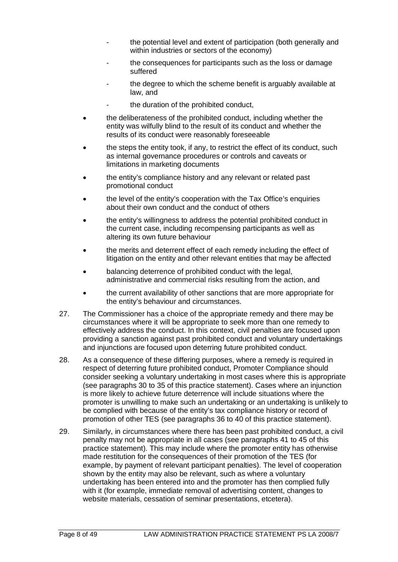- the potential level and extent of participation (both generally and within industries or sectors of the economy)
- the consequences for participants such as the loss or damage suffered
- the degree to which the scheme benefit is arguably available at law, and
- the duration of the prohibited conduct.
- the deliberateness of the prohibited conduct, including whether the entity was wilfully blind to the result of its conduct and whether the results of its conduct were reasonably foreseeable
- the steps the entity took, if any, to restrict the effect of its conduct, such as internal governance procedures or controls and caveats or limitations in marketing documents
- the entity's compliance history and any relevant or related past promotional conduct
- the level of the entity's cooperation with the Tax Office's enquiries about their own conduct and the conduct of others
- the entity's willingness to address the potential prohibited conduct in the current case, including recompensing participants as well as altering its own future behaviour
- the merits and deterrent effect of each remedy including the effect of litigation on the entity and other relevant entities that may be affected
- balancing deterrence of prohibited conduct with the legal. administrative and commercial risks resulting from the action, and
- the current availability of other sanctions that are more appropriate for the entity's behaviour and circumstances.
- 27. The Commissioner has a choice of the appropriate remedy and there may be circumstances where it will be appropriate to seek more than one remedy to effectively address the conduct. In this context, civil penalties are focused upon providing a sanction against past prohibited conduct and voluntary undertakings and injunctions are focused upon deterring future prohibited conduct.
- 28. As a consequence of these differing purposes, where a remedy is required in respect of deterring future prohibited conduct, Promoter Compliance should consider seeking a voluntary undertaking in most cases where this is appropriate (see paragraphs 30 to 35 of this practice statement). Cases where an injunction is more likely to achieve future deterrence will include situations where the promoter is unwilling to make such an undertaking or an undertaking is unlikely to be complied with because of the entity's tax compliance history or record of promotion of other TES (see paragraphs 36 to 40 of this practice statement).
- 29. Similarly, in circumstances where there has been past prohibited conduct, a civil penalty may not be appropriate in all cases (see paragraphs 41 to 45 of this practice statement). This may include where the promoter entity has otherwise made restitution for the consequences of their promotion of the TES (for example, by payment of relevant participant penalties). The level of cooperation shown by the entity may also be relevant, such as where a voluntary undertaking has been entered into and the promoter has then complied fully with it (for example, immediate removal of advertising content, changes to website materials, cessation of seminar presentations, etcetera).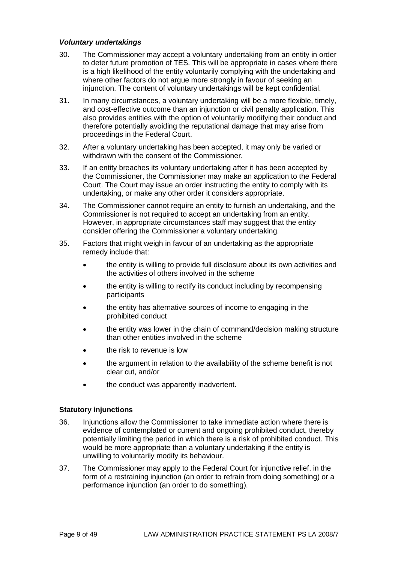## *Voluntary undertakings*

- 30. The Commissioner may accept a voluntary undertaking from an entity in order to deter future promotion of TES. This will be appropriate in cases where there is a high likelihood of the entity voluntarily complying with the undertaking and where other factors do not argue more strongly in favour of seeking an injunction. The content of voluntary undertakings will be kept confidential.
- 31. In many circumstances, a voluntary undertaking will be a more flexible, timely, and cost-effective outcome than an injunction or civil penalty application. This also provides entities with the option of voluntarily modifying their conduct and therefore potentially avoiding the reputational damage that may arise from proceedings in the Federal Court.
- 32. After a voluntary undertaking has been accepted, it may only be varied or withdrawn with the consent of the Commissioner.
- 33. If an entity breaches its voluntary undertaking after it has been accepted by the Commissioner, the Commissioner may make an application to the Federal Court. The Court may issue an order instructing the entity to comply with its undertaking, or make any other order it considers appropriate.
- 34. The Commissioner cannot require an entity to furnish an undertaking, and the Commissioner is not required to accept an undertaking from an entity. However, in appropriate circumstances staff may suggest that the entity consider offering the Commissioner a voluntary undertaking.
- 35. Factors that might weigh in favour of an undertaking as the appropriate remedy include that:
	- the entity is willing to provide full disclosure about its own activities and the activities of others involved in the scheme
	- the entity is willing to rectify its conduct including by recompensing participants
	- the entity has alternative sources of income to engaging in the prohibited conduct
	- the entity was lower in the chain of command/decision making structure than other entities involved in the scheme
	- the risk to revenue is low
	- the argument in relation to the availability of the scheme benefit is not clear cut, and/or
	- the conduct was apparently inadvertent.

#### **Statutory injunctions**

- 36. Injunctions allow the Commissioner to take immediate action where there is evidence of contemplated or current and ongoing prohibited conduct, thereby potentially limiting the period in which there is a risk of prohibited conduct. This would be more appropriate than a voluntary undertaking if the entity is unwilling to voluntarily modify its behaviour.
- 37. The Commissioner may apply to the Federal Court for injunctive relief, in the form of a restraining injunction (an order to refrain from doing something) or a performance injunction (an order to do something).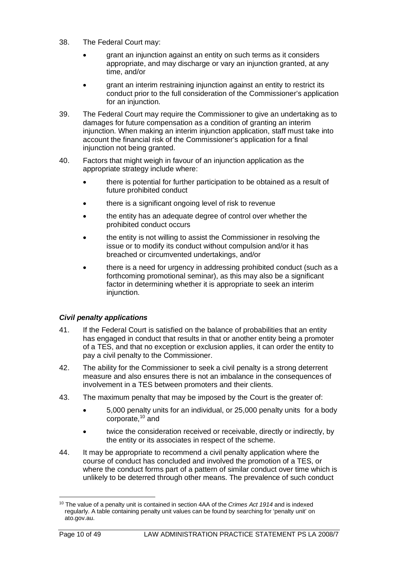- 38. The Federal Court may:
	- grant an injunction against an entity on such terms as it considers appropriate, and may discharge or vary an injunction granted, at any time, and/or
	- grant an interim restraining injunction against an entity to restrict its conduct prior to the full consideration of the Commissioner's application for an injunction.
- 39. The Federal Court may require the Commissioner to give an undertaking as to damages for future compensation as a condition of granting an interim injunction. When making an interim injunction application, staff must take into account the financial risk of the Commissioner's application for a final injunction not being granted.
- 40. Factors that might weigh in favour of an injunction application as the appropriate strategy include where:
	- there is potential for further participation to be obtained as a result of future prohibited conduct
	- there is a significant ongoing level of risk to revenue
	- the entity has an adequate degree of control over whether the prohibited conduct occurs
	- the entity is not willing to assist the Commissioner in resolving the issue or to modify its conduct without compulsion and/or it has breached or circumvented undertakings, and/or
	- there is a need for urgency in addressing prohibited conduct (such as a forthcoming promotional seminar), as this may also be a significant factor in determining whether it is appropriate to seek an interim injunction.

## *Civil penalty applications*

- 41. If the Federal Court is satisfied on the balance of probabilities that an entity has engaged in conduct that results in that or another entity being a promoter of a TES, and that no exception or exclusion applies, it can order the entity to pay a civil penalty to the Commissioner.
- 42. The ability for the Commissioner to seek a civil penalty is a strong deterrent measure and also ensures there is not an imbalance in the consequences of involvement in a TES between promoters and their clients.
- 43. The maximum penalty that may be imposed by the Court is the greater of:
	- 5,000 penalty units for an individual, or 25,000 penalty units for a body corporate[,10](#page-10-0) and
	- twice the consideration received or receivable, directly or indirectly, by the entity or its associates in respect of the scheme.
- 44. It may be appropriate to recommend a civil penalty application where the course of conduct has concluded and involved the promotion of a TES, or where the conduct forms part of a pattern of similar conduct over time which is unlikely to be deterred through other means. The prevalence of such conduct

<span id="page-10-0"></span><sup>10</sup> The value of a penalty unit is contained in section 4AA of the *Crimes Act 1914* and is indexed regularly. A table containing penalty unit values can be found by searching for 'penalty unit' on ato.gov.au.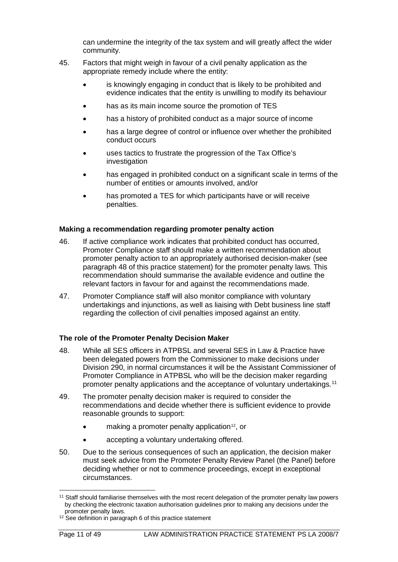can undermine the integrity of the tax system and will greatly affect the wider community.

- 45. Factors that might weigh in favour of a civil penalty application as the appropriate remedy include where the entity:
	- is knowingly engaging in conduct that is likely to be prohibited and evidence indicates that the entity is unwilling to modify its behaviour
	- has as its main income source the promotion of TES
	- has a history of prohibited conduct as a major source of income
	- has a large degree of control or influence over whether the prohibited conduct occurs
	- uses tactics to frustrate the progression of the Tax Office's investigation
	- has engaged in prohibited conduct on a significant scale in terms of the number of entities or amounts involved, and/or
	- has promoted a TES for which participants have or will receive penalties.

#### **Making a recommendation regarding promoter penalty action**

- 46. If active compliance work indicates that prohibited conduct has occurred, Promoter Compliance staff should make a written recommendation about promoter penalty action to an appropriately authorised decision-maker (see paragraph 48 of this practice statement) for the promoter penalty laws. This recommendation should summarise the available evidence and outline the relevant factors in favour for and against the recommendations made.
- 47. Promoter Compliance staff will also monitor compliance with voluntary undertakings and injunctions, as well as liaising with Debt business line staff regarding the collection of civil penalties imposed against an entity.

#### **The role of the Promoter Penalty Decision Maker**

- 48. While all SES officers in ATPBSL and several SES in Law & Practice have been delegated powers from the Commissioner to make decisions under Division 290, in normal circumstances it will be the Assistant Commissioner of Promoter Compliance in ATPBSL who will be the decision maker regarding promoter penalty applications and the acceptance of voluntary undertakings.[11](#page-11-0)
- 49. The promoter penalty decision maker is required to consider the recommendations and decide whether there is sufficient evidence to provide reasonable grounds to support:
	- making a promoter penalty application<sup>12</sup>, or
	- accepting a voluntary undertaking offered.
- 50. Due to the serious consequences of such an application, the decision maker must seek advice from the Promoter Penalty Review Panel (the Panel) before deciding whether or not to commence proceedings, except in exceptional circumstances.

<span id="page-11-0"></span><sup>&</sup>lt;sup>11</sup> Staff should familiarise themselves with the most recent delegation of the promoter penalty law powers by checking the electronic taxation authorisation guidelines prior to making any decisions under the promoter penalty laws.

<span id="page-11-1"></span><sup>&</sup>lt;sup>12</sup> See definition in paragraph 6 of this practice statement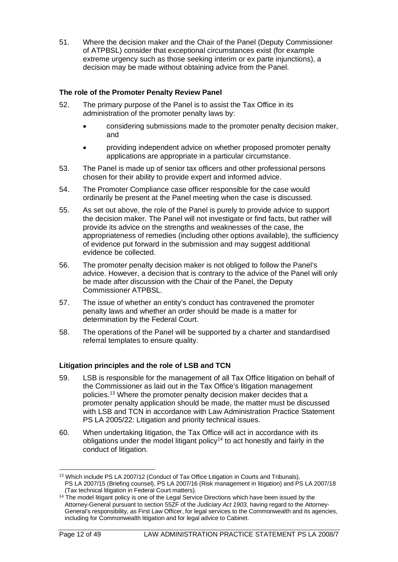51. Where the decision maker and the Chair of the Panel (Deputy Commissioner of ATPBSL) consider that exceptional circumstances exist (for example extreme urgency such as those seeking interim or ex parte injunctions), a decision may be made without obtaining advice from the Panel.

## **The role of the Promoter Penalty Review Panel**

- 52. The primary purpose of the Panel is to assist the Tax Office in its administration of the promoter penalty laws by:
	- considering submissions made to the promoter penalty decision maker, and
	- providing independent advice on whether proposed promoter penalty applications are appropriate in a particular circumstance.
- 53. The Panel is made up of senior tax officers and other professional persons chosen for their ability to provide expert and informed advice.
- 54. The Promoter Compliance case officer responsible for the case would ordinarily be present at the Panel meeting when the case is discussed.
- 55. As set out above, the role of the Panel is purely to provide advice to support the decision maker. The Panel will not investigate or find facts, but rather will provide its advice on the strengths and weaknesses of the case, the appropriateness of remedies (including other options available), the sufficiency of evidence put forward in the submission and may suggest additional evidence be collected.
- 56. The promoter penalty decision maker is not obliged to follow the Panel's advice. However, a decision that is contrary to the advice of the Panel will only be made after discussion with the Chair of the Panel, the Deputy Commissioner ATPBSL.
- 57. The issue of whether an entity's conduct has contravened the promoter penalty laws and whether an order should be made is a matter for determination by the Federal Court.
- 58. The operations of the Panel will be supported by a charter and standardised referral templates to ensure quality.

## **Litigation principles and the role of LSB and TCN**

- 59. LSB is responsible for the management of all Tax Office litigation on behalf of the Commissioner as laid out in the Tax Office's litigation management policies. [13](#page-12-0) Where the promoter penalty decision maker decides that a promoter penalty application should be made, the matter must be discussed with LSB and TCN in accordance with Law Administration Practice Statement PS LA 2005/22: Litigation and priority technical issues.
- 60. When undertaking litigation, the Tax Office will act in accordance with its obligations under the model litigant policy<sup>[14](#page-12-1)</sup> to act honestly and fairly in the conduct of litigation.

<span id="page-12-0"></span><sup>&</sup>lt;sup>13</sup> Which include PS LA 2007/12 (Conduct of Tax Office Litigation in Courts and Tribunals), PS LA 2007/15 (Briefing counsel), PS LA 2007/16 (Risk management in litigation) and PS LA 2007/18 (Tax technical litigation in Federal Court matters).

<span id="page-12-1"></span><sup>&</sup>lt;sup>14</sup> The model litigant policy is one of the Legal Service Directions which have been issued by the Attorney-General pursuant to section 55ZF of the *Judiciary Act 1903*, having regard to the Attorney-General's responsibility, as First Law Officer, for legal services to the Commonwealth and its agencies, including for Commonwealth litigation and for legal advice to Cabinet.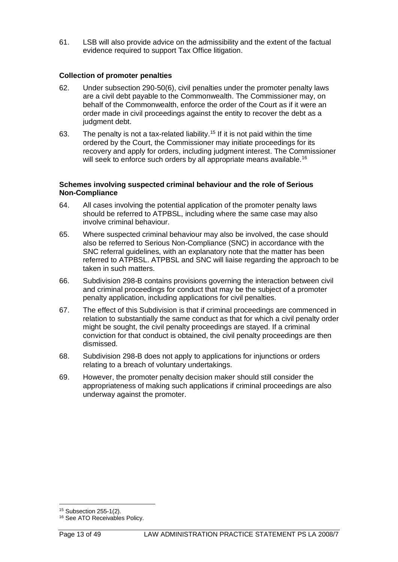61. LSB will also provide advice on the admissibility and the extent of the factual evidence required to support Tax Office litigation.

### **Collection of promoter penalties**

- 62. Under subsection 290-50(6), civil penalties under the promoter penalty laws are a civil debt payable to the Commonwealth. The Commissioner may, on behalf of the Commonwealth, enforce the order of the Court as if it were an order made in civil proceedings against the entity to recover the debt as a judgment debt.
- 63. The penalty is not a tax-related liability.<sup>[15](#page-13-0)</sup> If it is not paid within the time ordered by the Court, the Commissioner may initiate proceedings for its recovery and apply for orders, including judgment interest. The Commissioner will seek to enforce such orders by all appropriate means available.<sup>[16](#page-13-1)</sup>

#### **Schemes involving suspected criminal behaviour and the role of Serious Non-Compliance**

- 64. All cases involving the potential application of the promoter penalty laws should be referred to ATPBSL, including where the same case may also involve criminal behaviour.
- 65. Where suspected criminal behaviour may also be involved, the case should also be referred to Serious Non-Compliance (SNC) in accordance with the SNC referral guidelines, with an explanatory note that the matter has been referred to ATPBSL. ATPBSL and SNC will liaise regarding the approach to be taken in such matters.
- 66. Subdivision 298-B contains provisions governing the interaction between civil and criminal proceedings for conduct that may be the subject of a promoter penalty application, including applications for civil penalties.
- 67. The effect of this Subdivision is that if criminal proceedings are commenced in relation to substantially the same conduct as that for which a civil penalty order might be sought, the civil penalty proceedings are stayed. If a criminal conviction for that conduct is obtained, the civil penalty proceedings are then dismissed.
- 68. Subdivision 298-B does not apply to applications for injunctions or orders relating to a breach of voluntary undertakings.
- 69. However, the promoter penalty decision maker should still consider the appropriateness of making such applications if criminal proceedings are also underway against the promoter.

<span id="page-13-0"></span><sup>15</sup> Subsection 255-1(2).

<span id="page-13-1"></span><sup>&</sup>lt;sup>16</sup> See ATO Receivables Policy.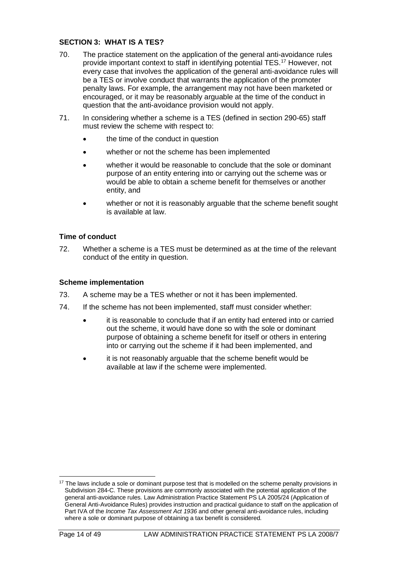## **SECTION 3: WHAT IS A TES?**

- 70. The practice statement on the application of the general anti-avoidance rules provide important context to staff in identifying potential TES[.17](#page-14-0) However, not every case that involves the application of the general anti-avoidance rules will be a TES or involve conduct that warrants the application of the promoter penalty laws. For example, the arrangement may not have been marketed or encouraged, or it may be reasonably arguable at the time of the conduct in question that the anti-avoidance provision would not apply.
- 71. In considering whether a scheme is a TES (defined in section 290-65) staff must review the scheme with respect to:
	- the time of the conduct in question
	- whether or not the scheme has been implemented
	- whether it would be reasonable to conclude that the sole or dominant purpose of an entity entering into or carrying out the scheme was or would be able to obtain a scheme benefit for themselves or another entity, and
	- whether or not it is reasonably arguable that the scheme benefit sought is available at law.

## **Time of conduct**

72. Whether a scheme is a TES must be determined as at the time of the relevant conduct of the entity in question.

#### **Scheme implementation**

- 73. A scheme may be a TES whether or not it has been implemented.
- 74. If the scheme has not been implemented, staff must consider whether:
	- it is reasonable to conclude that if an entity had entered into or carried out the scheme, it would have done so with the sole or dominant purpose of obtaining a scheme benefit for itself or others in entering into or carrying out the scheme if it had been implemented, and
	- it is not reasonably arguable that the scheme benefit would be available at law if the scheme were implemented.

<span id="page-14-0"></span><sup>&</sup>lt;sup>17</sup> The laws include a sole or dominant purpose test that is modelled on the scheme penalty provisions in Subdivision 284-C. These provisions are commonly associated with the potential application of the general anti-avoidance rules. Law Administration Practice Statement PS LA 2005/24 (Application of General Anti-Avoidance Rules) provides instruction and practical guidance to staff on the application of Part IVA of the *Income Tax Assessment Act 1936* and other general anti-avoidance rules, including where a sole or dominant purpose of obtaining a tax benefit is considered.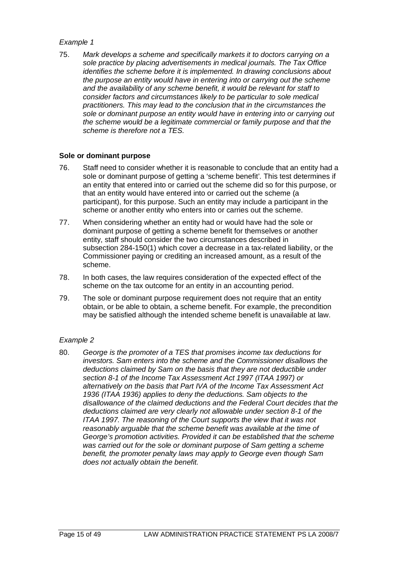75. *Mark develops a scheme and specifically markets it to doctors carrying on a sole practice by placing advertisements in medical journals. The Tax Office identifies the scheme before it is implemented. In drawing conclusions about the purpose an entity would have in entering into or carrying out the scheme and the availability of any scheme benefit, it would be relevant for staff to consider factors and circumstances likely to be particular to sole medical practitioners. This may lead to the conclusion that in the circumstances the sole or dominant purpose an entity would have in entering into or carrying out the scheme would be a legitimate commercial or family purpose and that the scheme is therefore not a TES.*

#### **Sole or dominant purpose**

- 76. Staff need to consider whether it is reasonable to conclude that an entity had a sole or dominant purpose of getting a 'scheme benefit'*.* This test determines if an entity that entered into or carried out the scheme did so for this purpose, or that an entity would have entered into or carried out the scheme (a participant), for this purpose. Such an entity may include a participant in the scheme or another entity who enters into or carries out the scheme.
- 77. When considering whether an entity had or would have had the sole or dominant purpose of getting a scheme benefit for themselves or another entity, staff should consider the two circumstances described in subsection 284-150(1) which cover a decrease in a tax-related liability, or the Commissioner paying or crediting an increased amount, as a result of the scheme.
- 78. In both cases, the law requires consideration of the expected effect of the scheme on the tax outcome for an entity in an accounting period.
- 79. The sole or dominant purpose requirement does not require that an entity obtain, or be able to obtain, a scheme benefit. For example, the precondition may be satisfied although the intended scheme benefit is unavailable at law.

#### *Example 2*

80. *George is the promoter of a TES that promises income tax deductions for investors. Sam enters into the scheme and the Commissioner disallows the deductions claimed by Sam on the basis that they are not deductible under section 8-1 of the Income Tax Assessment Act 1997 (ITAA 1997) or alternatively on the basis that Part IVA of the Income Tax Assessment Act 1936 (ITAA 1936) applies to deny the deductions. Sam objects to the disallowance of the claimed deductions and the Federal Court decides that the deductions claimed are very clearly not allowable under section 8-1 of the ITAA 1997. The reasoning of the Court supports the view that it was not reasonably arguable that the scheme benefit was available at the time of George's promotion activities. Provided it can be established that the scheme*  was carried out for the sole or dominant purpose of Sam getting a scheme *benefit, the promoter penalty laws may apply to George even though Sam does not actually obtain the benefit.*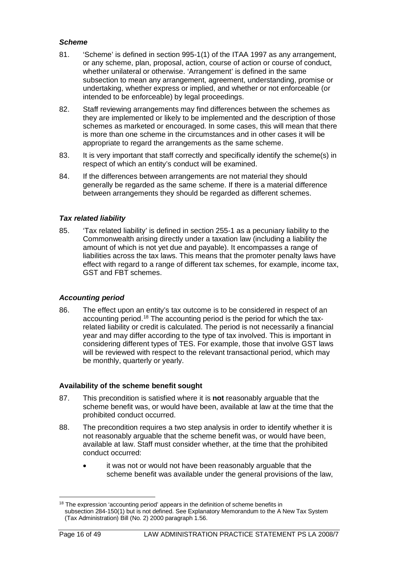## *Scheme*

- 81. 'Scheme' is defined in section 995-1(1) of the ITAA 1997 as any arrangement, or any scheme, plan, proposal, action, course of action or course of conduct, whether unilateral or otherwise. 'Arrangement' is defined in the same subsection to mean any arrangement, agreement, understanding, promise or undertaking, whether express or implied, and whether or not enforceable (or intended to be enforceable) by legal proceedings.
- 82. Staff reviewing arrangements may find differences between the schemes as they are implemented or likely to be implemented and the description of those schemes as marketed or encouraged. In some cases, this will mean that there is more than one scheme in the circumstances and in other cases it will be appropriate to regard the arrangements as the same scheme.
- 83. It is very important that staff correctly and specifically identify the scheme(s) in respect of which an entity's conduct will be examined.
- 84. If the differences between arrangements are not material they should generally be regarded as the same scheme. If there is a material difference between arrangements they should be regarded as different schemes.

## *Tax related liability*

85. 'Tax related liability' is defined in section 255-1 as a pecuniary liability to the Commonwealth arising directly under a taxation law (including a liability the amount of which is not yet due and payable). It encompasses a range of liabilities across the tax laws. This means that the promoter penalty laws have effect with regard to a range of different tax schemes, for example, income tax, GST and FBT schemes.

#### *Accounting period*

86. The effect upon an entity's tax outcome is to be considered in respect of an accounting period.[18](#page-16-0) The accounting period is the period for which the taxrelated liability or credit is calculated. The period is not necessarily a financial year and may differ according to the type of tax involved. This is important in considering different types of TES. For example, those that involve GST laws will be reviewed with respect to the relevant transactional period, which may be monthly, quarterly or yearly.

## **Availability of the scheme benefit sought**

- 87. This precondition is satisfied where it is **not** reasonably arguable that the scheme benefit was, or would have been, available at law at the time that the prohibited conduct occurred.
- 88. The precondition requires a two step analysis in order to identify whether it is not reasonably arguable that the scheme benefit was, or would have been, available at law. Staff must consider whether, at the time that the prohibited conduct occurred:
	- it was not or would not have been reasonably arguable that the scheme benefit was available under the general provisions of the law,

<span id="page-16-0"></span> $18$  The expression 'accounting period' appears in the definition of scheme benefits in subsection 284-150(1) but is not defined. See Explanatory Memorandum to the A New Tax System (Tax Administration) Bill (No. 2) 2000 paragraph 1.56.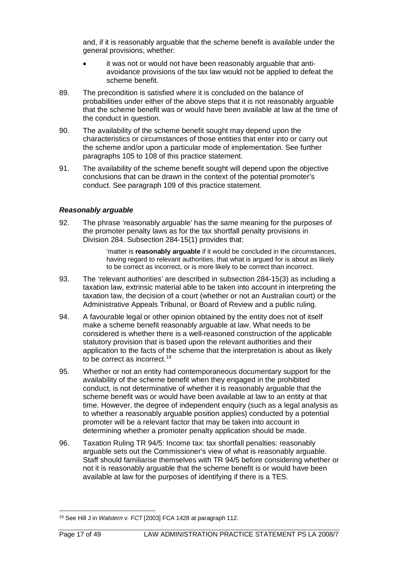and, if it is reasonably arguable that the scheme benefit is available under the general provisions, whether:

- it was not or would not have been reasonably arguable that antiavoidance provisions of the tax law would not be applied to defeat the scheme benefit.
- 89. The precondition is satisfied where it is concluded on the balance of probabilities under either of the above steps that it is not reasonably arguable that the scheme benefit was or would have been available at law at the time of the conduct in question.
- 90. The availability of the scheme benefit sought may depend upon the characteristics or circumstances of those entities that enter into or carry out the scheme and/or upon a particular mode of implementation. See further paragraphs 105 to 108 of this practice statement.
- 91. The availability of the scheme benefit sought will depend upon the objective conclusions that can be drawn in the context of the potential promoter's conduct. See paragraph 109 of this practice statement.

## *Reasonably arguable*

92. The phrase 'reasonably arguable' has the same meaning for the purposes of the promoter penalty laws as for the tax shortfall penalty provisions in Division 284. Subsection 284-15(1) provides that:

> 'matter is **reasonably arguable** if it would be concluded in the circumstances, having regard to relevant authorities, that what is argued for is about as likely to be correct as incorrect, or is more likely to be correct than incorrect.

- 93. The 'relevant authorities' are described in subsection 284-15(3) as including a taxation law, extrinsic material able to be taken into account in interpreting the taxation law, the decision of a court (whether or not an Australian court) or the Administrative Appeals Tribunal, or Board of Review and a public ruling.
- 94. A favourable legal or other opinion obtained by the entity does not of itself make a scheme benefit reasonably arguable at law. What needs to be considered is whether there is a well-reasoned construction of the applicable statutory provision that is based upon the relevant authorities and their application to the facts of the scheme that the interpretation is about as likely to be correct as incorrect.[19](#page-17-0)
- 95. Whether or not an entity had contemporaneous documentary support for the availability of the scheme benefit when they engaged in the prohibited conduct, is not determinative of whether it is reasonably arguable that the scheme benefit was or would have been available at law to an entity at that time. However, the degree of independent enquiry (such as a legal analysis as to whether a reasonably arguable position applies) conducted by a potential promoter will be a relevant factor that may be taken into account in determining whether a promoter penalty application should be made.
- 96. Taxation Ruling TR 94/5: Income tax: tax shortfall penalties: reasonably arguable sets out the Commissioner's view of what is reasonably arguable. Staff should familiarise themselves with TR 94/5 before considering whether or not it is reasonably arguable that the scheme benefit is or would have been available at law for the purposes of identifying if there is a TES.

<span id="page-17-0"></span><sup>19</sup> See Hill J in *Walstern v. FCT* [2003] FCA 1428 at paragraph 112.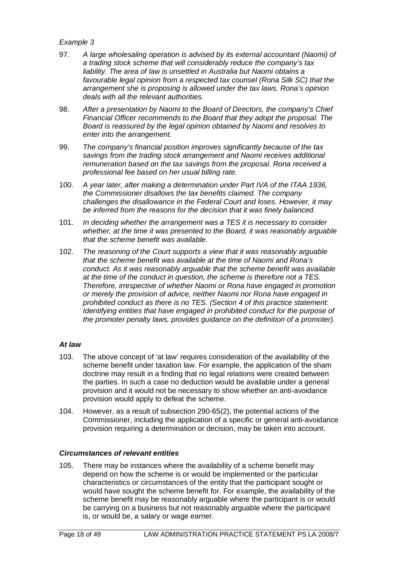- 97. *A large wholesaling operation is advised by its external accountant (Naomi) of a trading stock scheme that will considerably reduce the company's tax liability. The area of law is unsettled in Australia but Naomi obtains a favourable legal opinion from a respected tax counsel (Rona Silk SC) that the arrangement she is proposing is allowed under the tax laws. Rona's opinion deals with all the relevant authorities.*
- 98. *After a presentation by Naomi to the Board of Directors, the company's Chief Financial Officer recommends to the Board that they adopt the proposal. The Board is reassured by the legal opinion obtained by Naomi and resolves to enter into the arrangement.*
- 99. *The company's financial position improves significantly because of the tax savings from the trading stock arrangement and Naomi receives additional remuneration based on the tax savings from the proposal. Rona received a professional fee based on her usual billing rate.*
- 100. *A year later, after making a determination under Part IVA of the ITAA 1936, the Commissioner disallows the tax benefits claimed. The company challenges the disallowance in the Federal Court and loses. However, it may be inferred from the reasons for the decision that it was finely balanced.*
- 101. *In deciding whether the arrangement was a TES it is necessary to consider whether, at the time it was presented to the Board, it was reasonably arguable that the scheme benefit was available.*
- 102. *The reasoning of the Court supports a view that it was reasonably arguable that the scheme benefit was available at the time of Naomi and Rona's conduct. As it was reasonably arguable that the scheme benefit was available at the time of the conduct in question, the scheme is therefore not a TES. Therefore, irrespective of whether Naomi or Rona have engaged in promotion or merely the provision of advice, neither Naomi nor Rona have engaged in prohibited conduct as there is no TES. (Section 4 of this practice statement: Identifying entities that have engaged in prohibited conduct for the purpose of the promoter penalty laws, provides guidance on the definition of a promoter).*

#### *At law*

- 103. The above concept of 'at law' requires consideration of the availability of the scheme benefit under taxation law. For example, the application of the sham doctrine may result in a finding that no legal relations were created between the parties. In such a case no deduction would be available under a general provision and it would not be necessary to show whether an anti-avoidance provision would apply to defeat the scheme.
- 104. However, as a result of subsection 290-65(2), the potential actions of the Commissioner, including the application of a specific or general anti-avoidance provision requiring a determination or decision, may be taken into account.

#### *Circumstances of relevant entities*

105. There may be instances where the availability of a scheme benefit may depend on how the scheme is or would be implemented or the particular characteristics or circumstances of the entity that the participant sought or would have sought the scheme benefit for. For example, the availability of the scheme benefit may be reasonably arguable where the participant is or would be carrying on a business but not reasonably arguable where the participant is, or would be, a salary or wage earner.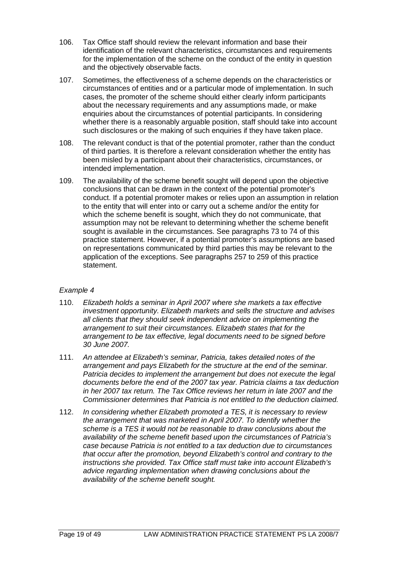- 106. Tax Office staff should review the relevant information and base their identification of the relevant characteristics, circumstances and requirements for the implementation of the scheme on the conduct of the entity in question and the objectively observable facts.
- 107. Sometimes, the effectiveness of a scheme depends on the characteristics or circumstances of entities and or a particular mode of implementation. In such cases, the promoter of the scheme should either clearly inform participants about the necessary requirements and any assumptions made, or make enquiries about the circumstances of potential participants. In considering whether there is a reasonably arguable position, staff should take into account such disclosures or the making of such enquiries if they have taken place.
- 108. The relevant conduct is that of the potential promoter, rather than the conduct of third parties. It is therefore a relevant consideration whether the entity has been misled by a participant about their characteristics, circumstances, or intended implementation.
- 109. The availability of the scheme benefit sought will depend upon the objective conclusions that can be drawn in the context of the potential promoter's conduct. If a potential promoter makes or relies upon an assumption in relation to the entity that will enter into or carry out a scheme and/or the entity for which the scheme benefit is sought, which they do not communicate, that assumption may not be relevant to determining whether the scheme benefit sought is available in the circumstances. See paragraphs 73 to 74 of this practice statement. However, if a potential promoter's assumptions are based on representations communicated by third parties this may be relevant to the application of the exceptions. See paragraphs 257 to 259 of this practice statement.

- 110. *Elizabeth holds a seminar in April 2007 where she markets a tax effective investment opportunity. Elizabeth markets and sells the structure and advises all clients that they should seek independent advice on implementing the arrangement to suit their circumstances. Elizabeth states that for the arrangement to be tax effective, legal documents need to be signed before 30 June 2007.*
- 111. *An attendee at Elizabeth's seminar, Patricia, takes detailed notes of the arrangement and pays Elizabeth for the structure at the end of the seminar. Patricia decides to implement the arrangement but does not execute the legal documents before the end of the 2007 tax year. Patricia claims a tax deduction in her 2007 tax return. The Tax Office reviews her return in late 2007 and the Commissioner determines that Patricia is not entitled to the deduction claimed.*
- 112. *In considering whether Elizabeth promoted a TES, it is necessary to review the arrangement that was marketed in April 2007. To identify whether the scheme is a TES it would not be reasonable to draw conclusions about the availability of the scheme benefit based upon the circumstances of Patricia's case because Patricia is not entitled to a tax deduction due to circumstances that occur after the promotion, beyond Elizabeth's control and contrary to the instructions she provided. Tax Office staff must take into account Elizabeth's advice regarding implementation when drawing conclusions about the availability of the scheme benefit sought.*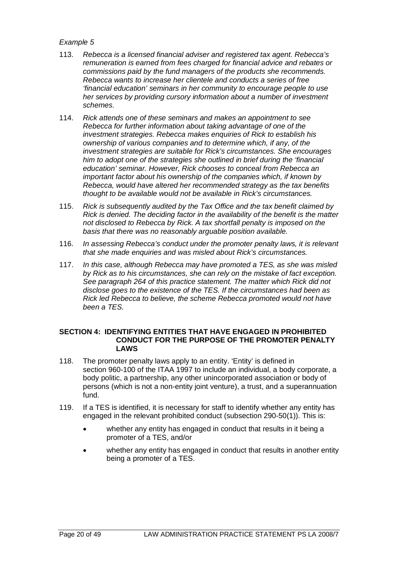- 113. *Rebecca is a licensed financial adviser and registered tax agent. Rebecca's remuneration is earned from fees charged for financial advice and rebates or commissions paid by the fund managers of the products she recommends. Rebecca wants to increase her clientele and conducts a series of free 'financial education' seminars in her community to encourage people to use her services by providing cursory information about a number of investment schemes.*
- 114. *Rick attends one of these seminars and makes an appointment to see Rebecca for further information about taking advantage of one of the investment strategies. Rebecca makes enquiries of Rick to establish his ownership of various companies and to determine which, if any, of the investment strategies are suitable for Rick's circumstances. She encourages him to adopt one of the strategies she outlined in brief during the 'financial education' seminar. However, Rick chooses to conceal from Rebecca an important factor about his ownership of the companies which, if known by Rebecca, would have altered her recommended strategy as the tax benefits thought to be available would not be available in Rick's circumstances.*
- 115. *Rick is subsequently audited by the Tax Office and the tax benefit claimed by Rick is denied. The deciding factor in the availability of the benefit is the matter not disclosed to Rebecca by Rick. A tax shortfall penalty is imposed on the basis that there was no reasonably arguable position available.*
- 116. *In assessing Rebecca's conduct under the promoter penalty laws, it is relevant that she made enquiries and was misled about Rick's circumstances.*
- 117. *In this case, although Rebecca may have promoted a TES, as she was misled by Rick as to his circumstances, she can rely on the mistake of fact exception. See paragraph 264 of this practice statement. The matter which Rick did not disclose goes to the existence of the TES. If the circumstances had been as Rick led Rebecca to believe, the scheme Rebecca promoted would not have been a TES.*

#### **SECTION 4: IDENTIFYING ENTITIES THAT HAVE ENGAGED IN PROHIBITED CONDUCT FOR THE PURPOSE OF THE PROMOTER PENALTY LAWS**

- 118. The promoter penalty laws apply to an entity. 'Entity' is defined in section 960-100 of the ITAA 1997 to include an individual, a body corporate, a body politic, a partnership, any other unincorporated association or body of persons (which is not a non-entity joint venture), a trust, and a superannuation fund.
- 119. If a TES is identified, it is necessary for staff to identify whether any entity has engaged in the relevant prohibited conduct (subsection 290-50(1)). This is:
	- whether any entity has engaged in conduct that results in it being a promoter of a TES, and/or
	- whether any entity has engaged in conduct that results in another entity being a promoter of a TES.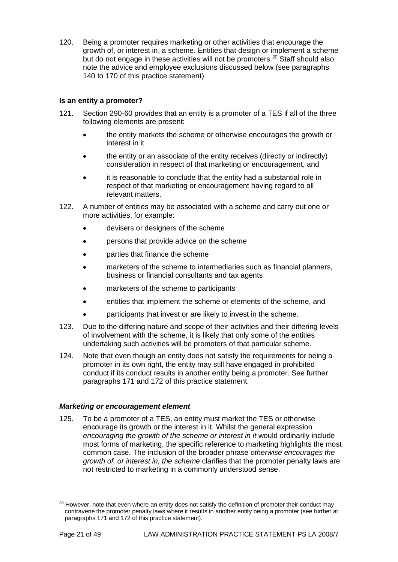120. Being a promoter requires marketing or other activities that encourage the growth of, or interest in, a scheme. Entities that design or implement a scheme but do not engage in these activities will not be promoters.<sup>[20](#page-21-0)</sup> Staff should also note the advice and employee exclusions discussed below (see paragraphs 140 to 170 of this practice statement).

## **Is an entity a promoter?**

- 121. Section 290-60 provides that an entity is a promoter of a TES if all of the three following elements are present:
	- the entity markets the scheme or otherwise encourages the growth or interest in it
	- the entity or an associate of the entity receives (directly or indirectly) consideration in respect of that marketing or encouragement, and
	- it is reasonable to conclude that the entity had a substantial role in respect of that marketing or encouragement having regard to all relevant matters.
- 122. A number of entities may be associated with a scheme and carry out one or more activities, for example:
	- devisers or designers of the scheme
	- persons that provide advice on the scheme
	- parties that finance the scheme
	- marketers of the scheme to intermediaries such as financial planners, business or financial consultants and tax agents
	- marketers of the scheme to participants
	- entities that implement the scheme or elements of the scheme, and
	- participants that invest or are likely to invest in the scheme.
- 123. Due to the differing nature and scope of their activities and their differing levels of involvement with the scheme, it is likely that only some of the entities undertaking such activities will be promoters of that particular scheme.
- 124. Note that even though an entity does not satisfy the requirements for being a promoter in its own right, the entity may still have engaged in prohibited conduct if its conduct results in another entity being a promoter. See further paragraphs 171 and 172 of this practice statement.

## *Marketing or encouragement element*

125. To be a promoter of a TES, an entity must market the TES or otherwise encourage its growth or the interest in it. Whilst the general expression *encouraging the growth of the scheme or interest in it* would ordinarily include most forms of marketing, the specific reference to marketing highlights the most common case. The inclusion of the broader phrase *otherwise encourages the growth of, or interest in, the scheme* clarifies that the promoter penalty laws are not restricted to marketing in a commonly understood sense.

<span id="page-21-0"></span><sup>&</sup>lt;sup>20</sup> However, note that even where an entity does not satisfy the definition of promoter their conduct may contravene the promoter penalty laws where it results in another entity being a promoter (see further at paragraphs 171 and 172 of this practice statement).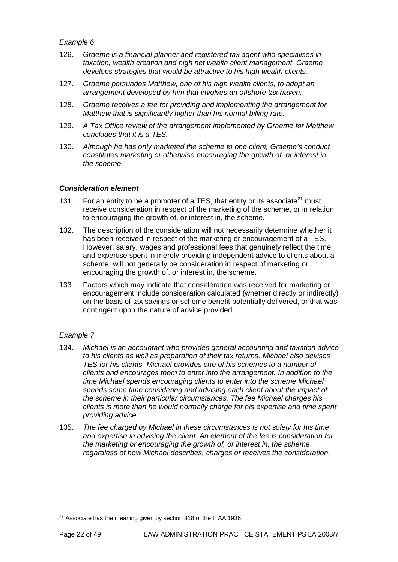- 126. *Graeme is a financial planner and registered tax agent who specialises in taxation, wealth creation and high net wealth client management. Graeme develops strategies that would be attractive to his high wealth clients.*
- 127. *Graeme persuades Matthew, one of his high wealth clients, to adopt an arrangement developed by him that involves an offshore tax haven.*
- 128. *Graeme receives a fee for providing and implementing the arrangement for Matthew that is significantly higher than his normal billing rate.*
- 129. *A Tax Office review of the arrangement implemented by Graeme for Matthew concludes that it is a TES.*
- 130. *Although he has only marketed the scheme to one client, Graeme's conduct constitutes marketing or otherwise encouraging the growth of, or interest in, the scheme.*

## *Consideration element*

- 131. For an entity to be a promoter of a TES, that entity or its associate<sup>21</sup> must receive consideration in respect of the marketing of the scheme, or in relation to encouraging the growth of, or interest in, the scheme.
- 132. The description of the consideration will not necessarily determine whether it has been received in respect of the marketing or encouragement of a TES. However, salary, wages and professional fees that genuinely reflect the time and expertise spent in merely providing independent advice to clients about a scheme, will not generally be consideration in respect of marketing or encouraging the growth of, or interest in, the scheme.
- 133. Factors which may indicate that consideration was received for marketing or encouragement include consideration calculated (whether directly or indirectly) on the basis of tax savings or scheme benefit potentially delivered, or that was contingent upon the nature of advice provided.

## *Example 7*

- 134. *Michael is an accountant who provides general accounting and taxation advice to his clients as well as preparation of their tax returns. Michael also devises TES for his clients. Michael provides one of his schemes to a number of clients and encourages them to enter into the arrangement. In addition to the time Michael spends encouraging clients to enter into the scheme Michael spends some time considering and advising each client about the impact of the scheme in their particular circumstances. The fee Michael charges his clients is more than he would normally charge for his expertise and time spent providing advice.*
- 135. *The fee charged by Michael in these circumstances is not solely for his time and expertise in advising the client. An element of the fee is consideration for the marketing or encouraging the growth of, or interest in, the scheme regardless of how Michael describes, charges or receives the consideration.*

<span id="page-22-0"></span><sup>&</sup>lt;sup>21</sup> Associate has the meaning given by section 318 of the ITAA 1936.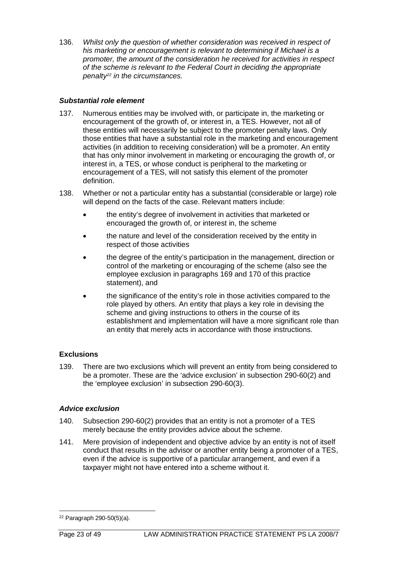136. *Whilst only the question of whether consideration was received in respect of his marketing or encouragement is relevant to determining if Michael is a promoter, the amount of the consideration he received for activities in respect of the scheme is relevant to the Federal Court in deciding the appropriate penalty[22](#page-23-0) in the circumstances.*

## *Substantial role element*

- 137. Numerous entities may be involved with, or participate in, the marketing or encouragement of the growth of, or interest in, a TES. However, not all of these entities will necessarily be subject to the promoter penalty laws. Only those entities that have a substantial role in the marketing and encouragement activities (in addition to receiving consideration) will be a promoter. An entity that has only minor involvement in marketing or encouraging the growth of, or interest in, a TES, or whose conduct is peripheral to the marketing or encouragement of a TES, will not satisfy this element of the promoter definition.
- 138. Whether or not a particular entity has a substantial (considerable or large) role will depend on the facts of the case. Relevant matters include:
	- the entity's degree of involvement in activities that marketed or encouraged the growth of, or interest in, the scheme
	- the nature and level of the consideration received by the entity in respect of those activities
	- the degree of the entity's participation in the management, direction or control of the marketing or encouraging of the scheme (also see the employee exclusion in paragraphs 169 and 170 of this practice statement), and
	- the significance of the entity's role in those activities compared to the role played by others. An entity that plays a key role in devising the scheme and giving instructions to others in the course of its establishment and implementation will have a more significant role than an entity that merely acts in accordance with those instructions.

#### **Exclusions**

139. There are two exclusions which will prevent an entity from being considered to be a promoter. These are the 'advice exclusion' in subsection 290-60(2) and the 'employee exclusion' in subsection 290-60(3).

#### *Advice exclusion*

- 140. Subsection 290-60(2) provides that an entity is not a promoter of a TES merely because the entity provides advice about the scheme.
- 141. Mere provision of independent and objective advice by an entity is not of itself conduct that results in the advisor or another entity being a promoter of a TES, even if the advice is supportive of a particular arrangement, and even if a taxpayer might not have entered into a scheme without it.

<span id="page-23-0"></span> $22$  Paragraph 290-50(5)(a).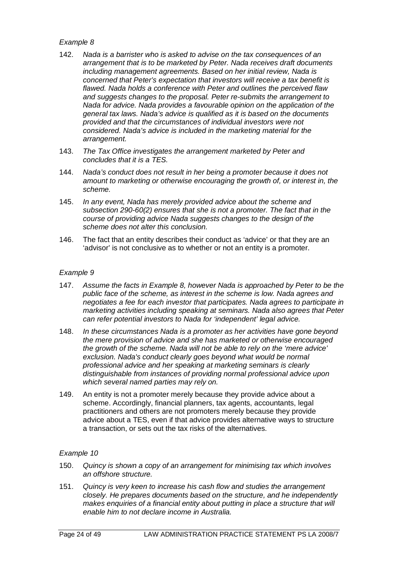- 142. *Nada is a barrister who is asked to advise on the tax consequences of an arrangement that is to be marketed by Peter. Nada receives draft documents including management agreements. Based on her initial review, Nada is concerned that Peter's expectation that investors will receive a tax benefit is flawed. Nada holds a conference with Peter and outlines the perceived flaw and suggests changes to the proposal. Peter re-submits the arrangement to Nada for advice. Nada provides a favourable opinion on the application of the general tax laws. Nada's advice is qualified as it is based on the documents provided and that the circumstances of individual investors were not considered. Nada's advice is included in the marketing material for the arrangement.*
- 143. *The Tax Office investigates the arrangement marketed by Peter and concludes that it is a TES.*
- 144. *Nada's conduct does not result in her being a promoter because it does not amount to marketing or otherwise encouraging the growth of, or interest in, the scheme.*
- 145. *In any event, Nada has merely provided advice about the scheme and subsection 290-60(2) ensures that she is not a promoter. The fact that in the course of providing advice Nada suggests changes to the design of the scheme does not alter this conclusion.*
- 146. The fact that an entity describes their conduct as 'advice' or that they are an 'advisor' is not conclusive as to whether or not an entity is a promoter.

#### *Example 9*

- 147. *Assume the facts in Example 8, however Nada is approached by Peter to be the public face of the scheme, as interest in the scheme is low. Nada agrees and negotiates a fee for each investor that participates. Nada agrees to participate in marketing activities including speaking at seminars. Nada also agrees that Peter can refer potential investors to Nada for 'independent' legal advice.*
- 148. *In these circumstances Nada is a promoter as her activities have gone beyond the mere provision of advice and she has marketed or otherwise encouraged the growth of the scheme. Nada will not be able to rely on the 'mere advice' exclusion. Nada's conduct clearly goes beyond what would be normal professional advice and her speaking at marketing seminars is clearly distinguishable from instances of providing normal professional advice upon which several named parties may rely on.*
- 149. An entity is not a promoter merely because they provide advice about a scheme. Accordingly, financial planners, tax agents, accountants, legal practitioners and others are not promoters merely because they provide advice about a TES, even if that advice provides alternative ways to structure a transaction, or sets out the tax risks of the alternatives.

#### *Example 10*

- 150. *Quincy is shown a copy of an arrangement for minimising tax which involves an offshore structure.*
- 151. *Quincy is very keen to increase his cash flow and studies the arrangement closely. He prepares documents based on the structure, and he independently makes enquiries of a financial entity about putting in place a structure that will enable him to not declare income in Australia.*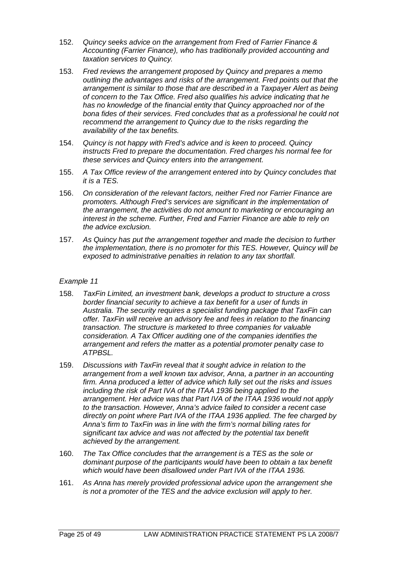- 152. *Quincy seeks advice on the arrangement from Fred of Farrier Finance & Accounting (Farrier Finance), who has traditionally provided accounting and taxation services to Quincy.*
- 153. *Fred reviews the arrangement proposed by Quincy and prepares a memo outlining the advantages and risks of the arrangement. Fred points out that the arrangement is similar to those that are described in a Taxpayer Alert as being of concern to the Tax Office. Fred also qualifies his advice indicating that he has no knowledge of the financial entity that Quincy approached nor of the bona fides of their services. Fred concludes that as a professional he could not recommend the arrangement to Quincy due to the risks regarding the availability of the tax benefits.*
- 154. *Quincy is not happy with Fred's advice and is keen to proceed. Quincy instructs Fred to prepare the documentation. Fred charges his normal fee for these services and Quincy enters into the arrangement.*
- 155. *A Tax Office review of the arrangement entered into by Quincy concludes that it is a TES.*
- 156. *On consideration of the relevant factors, neither Fred nor Farrier Finance are promoters. Although Fred's services are significant in the implementation of the arrangement, the activities do not amount to marketing or encouraging an interest in the scheme. Further, Fred and Farrier Finance are able to rely on the advice exclusion.*
- 157. *As Quincy has put the arrangement together and made the decision to further the implementation, there is no promoter for this TES. However, Quincy will be exposed to administrative penalties in relation to any tax shortfall.*

- 158. *TaxFin Limited, an investment bank, develops a product to structure a cross border financial security to achieve a tax benefit for a user of funds in Australia. The security requires a specialist funding package that TaxFin can offer. TaxFin will receive an advisory fee and fees in relation to the financing transaction. The structure is marketed to three companies for valuable consideration. A Tax Officer auditing one of the companies identifies the arrangement and refers the matter as a potential promoter penalty case to ATPBSL.*
- 159. *Discussions with TaxFin reveal that it sought advice in relation to the arrangement from a well known tax advisor, Anna, a partner in an accounting firm. Anna produced a letter of advice which fully set out the risks and issues including the risk of Part IVA of the ITAA 1936 being applied to the arrangement. Her advice was that Part IVA of the ITAA 1936 would not apply to the transaction. However, Anna's advice failed to consider a recent case directly on point where Part IVA of the ITAA 1936 applied. The fee charged by Anna's firm to TaxFin was in line with the firm's normal billing rates for significant tax advice and was not affected by the potential tax benefit achieved by the arrangement.*
- 160. *The Tax Office concludes that the arrangement is a TES as the sole or dominant purpose of the participants would have been to obtain a tax benefit which would have been disallowed under Part IVA of the ITAA 1936.*
- 161. *As Anna has merely provided professional advice upon the arrangement she is not a promoter of the TES and the advice exclusion will apply to her.*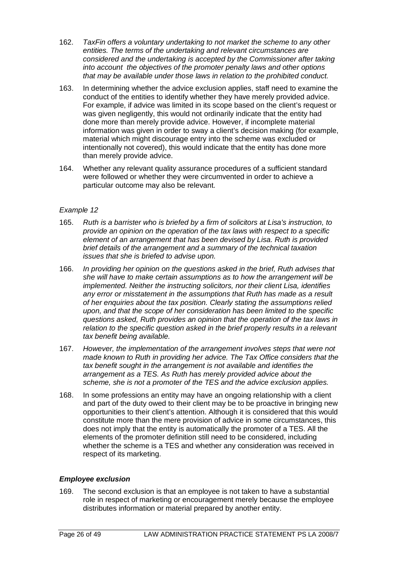- 162. *TaxFin offers a voluntary undertaking to not market the scheme to any other entities. The terms of the undertaking and relevant circumstances are considered and the undertaking is accepted by the Commissioner after taking into account the objectives of the promoter penalty laws and other options that may be available under those laws in relation to the prohibited conduct.*
- 163. In determining whether the advice exclusion applies, staff need to examine the conduct of the entities to identify whether they have merely provided advice. For example, if advice was limited in its scope based on the client's request or was given negligently, this would not ordinarily indicate that the entity had done more than merely provide advice. However, if incomplete material information was given in order to sway a client's decision making (for example, material which might discourage entry into the scheme was excluded or intentionally not covered), this would indicate that the entity has done more than merely provide advice.
- 164. Whether any relevant quality assurance procedures of a sufficient standard were followed or whether they were circumvented in order to achieve a particular outcome may also be relevant.

- 165. *Ruth is a barrister who is briefed by a firm of solicitors at Lisa's instruction, to provide an opinion on the operation of the tax laws with respect to a specific element of an arrangement that has been devised by Lisa. Ruth is provided brief details of the arrangement and a summary of the technical taxation issues that she is briefed to advise upon.*
- 166. *In providing her opinion on the questions asked in the brief, Ruth advises that she will have to make certain assumptions as to how the arrangement will be implemented. Neither the instructing solicitors, nor their client Lisa, identifies any error or misstatement in the assumptions that Ruth has made as a result of her enquiries about the tax position. Clearly stating the assumptions relied upon, and that the scope of her consideration has been limited to the specific questions asked, Ruth provides an opinion that the operation of the tax laws in relation to the specific question asked in the brief properly results in a relevant tax benefit being available.*
- 167. *However, the implementation of the arrangement involves steps that were not made known to Ruth in providing her advice. The Tax Office considers that the tax benefit sought in the arrangement is not available and identifies the arrangement as a TES. As Ruth has merely provided advice about the scheme, she is not a promoter of the TES and the advice exclusion applies.*
- 168. In some professions an entity may have an ongoing relationship with a client and part of the duty owed to their client may be to be proactive in bringing new opportunities to their client's attention. Although it is considered that this would constitute more than the mere provision of advice in some circumstances, this does not imply that the entity is automatically the promoter of a TES. All the elements of the promoter definition still need to be considered, including whether the scheme is a TES and whether any consideration was received in respect of its marketing.

## *Employee exclusion*

169. The second exclusion is that an employee is not taken to have a substantial role in respect of marketing or encouragement merely because the employee distributes information or material prepared by another entity.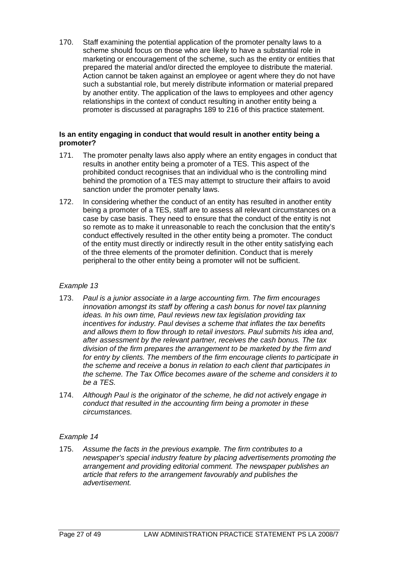170. Staff examining the potential application of the promoter penalty laws to a scheme should focus on those who are likely to have a substantial role in marketing or encouragement of the scheme, such as the entity or entities that prepared the material and/or directed the employee to distribute the material. Action cannot be taken against an employee or agent where they do not have such a substantial role, but merely distribute information or material prepared by another entity. The application of the laws to employees and other agency relationships in the context of conduct resulting in another entity being a promoter is discussed at paragraphs 189 to 216 of this practice statement.

## **Is an entity engaging in conduct that would result in another entity being a promoter?**

- 171. The promoter penalty laws also apply where an entity engages in conduct that results in another entity being a promoter of a TES. This aspect of the prohibited conduct recognises that an individual who is the controlling mind behind the promotion of a TES may attempt to structure their affairs to avoid sanction under the promoter penalty laws.
- 172. In considering whether the conduct of an entity has resulted in another entity being a promoter of a TES, staff are to assess all relevant circumstances on a case by case basis. They need to ensure that the conduct of the entity is not so remote as to make it unreasonable to reach the conclusion that the entity's conduct effectively resulted in the other entity being a promoter. The conduct of the entity must directly or indirectly result in the other entity satisfying each of the three elements of the promoter definition. Conduct that is merely peripheral to the other entity being a promoter will not be sufficient.

## *Example 13*

- 173. *Paul is a junior associate in a large accounting firm. The firm encourages innovation amongst its staff by offering a cash bonus for novel tax planning ideas. In his own time, Paul reviews new tax legislation providing tax incentives for industry. Paul devises a scheme that inflates the tax benefits and allows them to flow through to retail investors. Paul submits his idea and, after assessment by the relevant partner, receives the cash bonus. The tax division of the firm prepares the arrangement to be marketed by the firm and*  for entry by clients. The members of the firm encourage clients to participate in *the scheme and receive a bonus in relation to each client that participates in the scheme. The Tax Office becomes aware of the scheme and considers it to be a TES.*
- 174. *Although Paul is the originator of the scheme, he did not actively engage in conduct that resulted in the accounting firm being a promoter in these circumstances.*

## *Example 14*

175. *Assume the facts in the previous example. The firm contributes to a newspaper's special industry feature by placing advertisements promoting the arrangement and providing editorial comment. The newspaper publishes an article that refers to the arrangement favourably and publishes the advertisement.*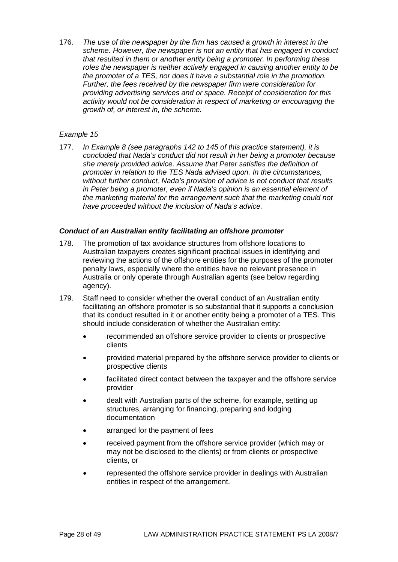176. *The use of the newspaper by the firm has caused a growth in interest in the scheme. However, the newspaper is not an entity that has engaged in conduct that resulted in them or another entity being a promoter. In performing these roles the newspaper is neither actively engaged in causing another entity to be the promoter of a TES, nor does it have a substantial role in the promotion. Further, the fees received by the newspaper firm were consideration for providing advertising services and or space. Receipt of consideration for this activity would not be consideration in respect of marketing or encouraging the growth of, or interest in, the scheme.*

## *Example 15*

177. *In Example 8 (see paragraphs 142 to 145 of this practice statement), it is concluded that Nada's conduct did not result in her being a promoter because she merely provided advice. Assume that Peter satisfies the definition of promoter in relation to the TES Nada advised upon. In the circumstances, without further conduct, Nada's provision of advice is not conduct that results in Peter being a promoter, even if Nada's opinion is an essential element of the marketing material for the arrangement such that the marketing could not have proceeded without the inclusion of Nada's advice.*

#### *Conduct of an Australian entity facilitating an offshore promoter*

- 178. The promotion of tax avoidance structures from offshore locations to Australian taxpayers creates significant practical issues in identifying and reviewing the actions of the offshore entities for the purposes of the promoter penalty laws, especially where the entities have no relevant presence in Australia or only operate through Australian agents (see below regarding agency).
- 179. Staff need to consider whether the overall conduct of an Australian entity facilitating an offshore promoter is so substantial that it supports a conclusion that its conduct resulted in it or another entity being a promoter of a TES. This should include consideration of whether the Australian entity:
	- recommended an offshore service provider to clients or prospective clients
	- provided material prepared by the offshore service provider to clients or prospective clients
	- facilitated direct contact between the taxpayer and the offshore service provider
	- dealt with Australian parts of the scheme, for example, setting up structures, arranging for financing, preparing and lodging documentation
	- arranged for the payment of fees
	- received payment from the offshore service provider (which may or may not be disclosed to the clients) or from clients or prospective clients, or
	- represented the offshore service provider in dealings with Australian entities in respect of the arrangement.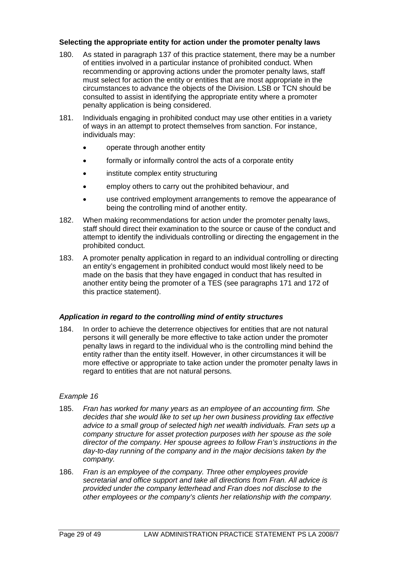### **Selecting the appropriate entity for action under the promoter penalty laws**

- 180. As stated in paragraph 137 of this practice statement, there may be a number of entities involved in a particular instance of prohibited conduct. When recommending or approving actions under the promoter penalty laws, staff must select for action the entity or entities that are most appropriate in the circumstances to advance the objects of the Division. LSB or TCN should be consulted to assist in identifying the appropriate entity where a promoter penalty application is being considered.
- 181. Individuals engaging in prohibited conduct may use other entities in a variety of ways in an attempt to protect themselves from sanction. For instance, individuals may:
	- operate through another entity
	- formally or informally control the acts of a corporate entity
	- institute complex entity structuring
	- employ others to carry out the prohibited behaviour, and
	- use contrived employment arrangements to remove the appearance of being the controlling mind of another entity.
- 182. When making recommendations for action under the promoter penalty laws, staff should direct their examination to the source or cause of the conduct and attempt to identify the individuals controlling or directing the engagement in the prohibited conduct.
- 183. A promoter penalty application in regard to an individual controlling or directing an entity's engagement in prohibited conduct would most likely need to be made on the basis that they have engaged in conduct that has resulted in another entity being the promoter of a TES (see paragraphs 171 and 172 of this practice statement).

#### *Application in regard to the controlling mind of entity structures*

184. In order to achieve the deterrence objectives for entities that are not natural persons it will generally be more effective to take action under the promoter penalty laws in regard to the individual who is the controlling mind behind the entity rather than the entity itself. However, in other circumstances it will be more effective or appropriate to take action under the promoter penalty laws in regard to entities that are not natural persons.

## *Example 16*

- 185. *Fran has worked for many years as an employee of an accounting firm. She decides that she would like to set up her own business providing tax effective advice to a small group of selected high net wealth individuals. Fran sets up a company structure for asset protection purposes with her spouse as the sole director of the company. Her spouse agrees to follow Fran's instructions in the day-to-day running of the company and in the major decisions taken by the company.*
- 186. *Fran is an employee of the company. Three other employees provide secretarial and office support and take all directions from Fran. All advice is provided under the company letterhead and Fran does not disclose to the other employees or the company's clients her relationship with the company.*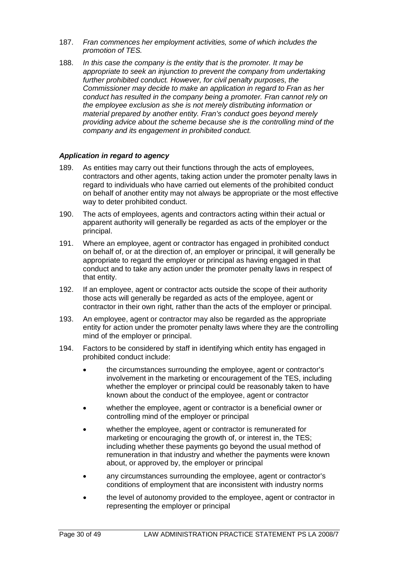- 187. *Fran commences her employment activities, some of which includes the promotion of TES.*
- 188. *In this case the company is the entity that is the promoter. It may be appropriate to seek an injunction to prevent the company from undertaking further prohibited conduct. However, for civil penalty purposes, the Commissioner may decide to make an application in regard to Fran as her conduct has resulted in the company being a promoter. Fran cannot rely on the employee exclusion as she is not merely distributing information or material prepared by another entity. Fran's conduct goes beyond merely providing advice about the scheme because she is the controlling mind of the company and its engagement in prohibited conduct.*

#### *Application in regard to agency*

- 189. As entities may carry out their functions through the acts of employees, contractors and other agents, taking action under the promoter penalty laws in regard to individuals who have carried out elements of the prohibited conduct on behalf of another entity may not always be appropriate or the most effective way to deter prohibited conduct.
- 190. The acts of employees, agents and contractors acting within their actual or apparent authority will generally be regarded as acts of the employer or the principal.
- 191. Where an employee, agent or contractor has engaged in prohibited conduct on behalf of, or at the direction of, an employer or principal, it will generally be appropriate to regard the employer or principal as having engaged in that conduct and to take any action under the promoter penalty laws in respect of that entity.
- 192. If an employee, agent or contractor acts outside the scope of their authority those acts will generally be regarded as acts of the employee, agent or contractor in their own right, rather than the acts of the employer or principal.
- 193. An employee, agent or contractor may also be regarded as the appropriate entity for action under the promoter penalty laws where they are the controlling mind of the employer or principal.
- 194. Factors to be considered by staff in identifying which entity has engaged in prohibited conduct include:
	- the circumstances surrounding the employee, agent or contractor's involvement in the marketing or encouragement of the TES, including whether the employer or principal could be reasonably taken to have known about the conduct of the employee, agent or contractor
	- whether the employee, agent or contractor is a beneficial owner or controlling mind of the employer or principal
	- whether the employee, agent or contractor is remunerated for marketing or encouraging the growth of, or interest in, the TES; including whether these payments go beyond the usual method of remuneration in that industry and whether the payments were known about, or approved by, the employer or principal
	- any circumstances surrounding the employee, agent or contractor's conditions of employment that are inconsistent with industry norms
	- the level of autonomy provided to the employee, agent or contractor in representing the employer or principal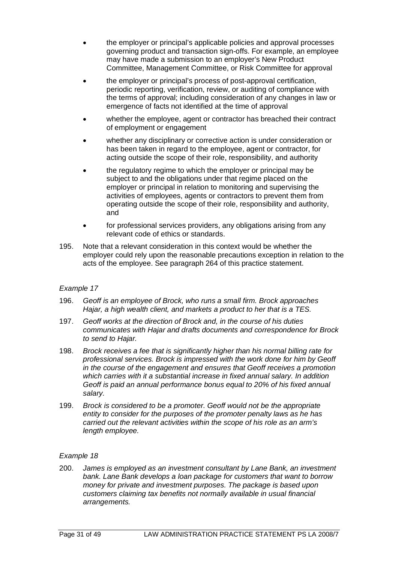- the employer or principal's applicable policies and approval processes governing product and transaction sign-offs. For example, an employee may have made a submission to an employer's New Product Committee, Management Committee, or Risk Committee for approval
- the employer or principal's process of post-approval certification, periodic reporting, verification, review, or auditing of compliance with the terms of approval; including consideration of any changes in law or emergence of facts not identified at the time of approval
- whether the employee, agent or contractor has breached their contract of employment or engagement
- whether any disciplinary or corrective action is under consideration or has been taken in regard to the employee, agent or contractor, for acting outside the scope of their role, responsibility, and authority
- the regulatory regime to which the employer or principal may be subject to and the obligations under that regime placed on the employer or principal in relation to monitoring and supervising the activities of employees, agents or contractors to prevent them from operating outside the scope of their role, responsibility and authority, and
- for professional services providers, any obligations arising from any relevant code of ethics or standards.
- 195. Note that a relevant consideration in this context would be whether the employer could rely upon the reasonable precautions exception in relation to the acts of the employee. See paragraph 264 of this practice statement.

- 196. *Geoff is an employee of Brock, who runs a small firm. Brock approaches Hajar, a high wealth client, and markets a product to her that is a TES.*
- 197. *Geoff works at the direction of Brock and, in the course of his duties communicates with Hajar and drafts documents and correspondence for Brock to send to Hajar.*
- 198. *Brock receives a fee that is significantly higher than his normal billing rate for professional services. Brock is impressed with the work done for him by Geoff in the course of the engagement and ensures that Geoff receives a promotion which carries with it a substantial increase in fixed annual salary. In addition Geoff is paid an annual performance bonus equal to 20% of his fixed annual salary.*
- 199. *Brock is considered to be a promoter. Geoff would not be the appropriate entity to consider for the purposes of the promoter penalty laws as he has carried out the relevant activities within the scope of his role as an arm's length employee.*

#### *Example 18*

200. *James is employed as an investment consultant by Lane Bank, an investment bank. Lane Bank develops a loan package for customers that want to borrow money for private and investment purposes. The package is based upon customers claiming tax benefits not normally available in usual financial arrangements.*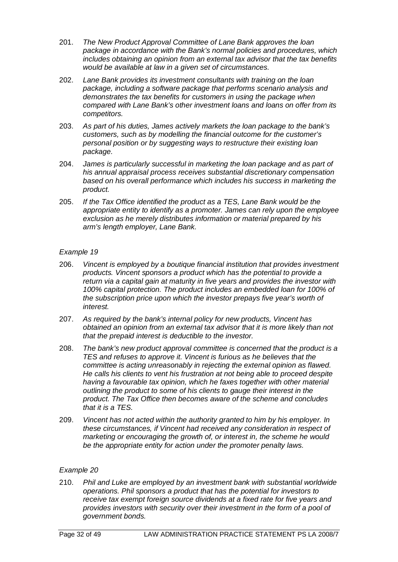- 201. *The New Product Approval Committee of Lane Bank approves the loan package in accordance with the Bank's normal policies and procedures, which includes obtaining an opinion from an external tax advisor that the tax benefits would be available at law in a given set of circumstances.*
- 202. *Lane Bank provides its investment consultants with training on the loan package, including a software package that performs scenario analysis and demonstrates the tax benefits for customers in using the package when compared with Lane Bank's other investment loans and loans on offer from its competitors.*
- 203. *As part of his duties, James actively markets the loan package to the bank's customers, such as by modelling the financial outcome for the customer's personal position or by suggesting ways to restructure their existing loan package.*
- 204. *James is particularly successful in marketing the loan package and as part of his annual appraisal process receives substantial discretionary compensation based on his overall performance which includes his success in marketing the product.*
- 205. *If the Tax Office identified the product as a TES, Lane Bank would be the appropriate entity to identify as a promoter. James can rely upon the employee exclusion as he merely distributes information or material prepared by his arm's length employer, Lane Bank.*

- 206. *Vincent is employed by a boutique financial institution that provides investment products. Vincent sponsors a product which has the potential to provide a return via a capital gain at maturity in five years and provides the investor with 100% capital protection. The product includes an embedded loan for 100% of the subscription price upon which the investor prepays five year's worth of interest.*
- 207. *As required by the bank's internal policy for new products, Vincent has obtained an opinion from an external tax advisor that it is more likely than not that the prepaid interest is deductible to the investor.*
- 208. *The bank's new product approval committee is concerned that the product is a TES and refuses to approve it. Vincent is furious as he believes that the committee is acting unreasonably in rejecting the external opinion as flawed. He calls his clients to vent his frustration at not being able to proceed despite having a favourable tax opinion, which he faxes together with other material outlining the product to some of his clients to gauge their interest in the product. The Tax Office then becomes aware of the scheme and concludes that it is a TES.*
- 209. *Vincent has not acted within the authority granted to him by his employer. In these circumstances, if Vincent had received any consideration in respect of marketing or encouraging the growth of, or interest in, the scheme he would be the appropriate entity for action under the promoter penalty laws.*

#### *Example 20*

210. *Phil and Luke are employed by an investment bank with substantial worldwide operations. Phil sponsors a product that has the potential for investors to receive tax exempt foreign source dividends at a fixed rate for five years and provides investors with security over their investment in the form of a pool of government bonds.*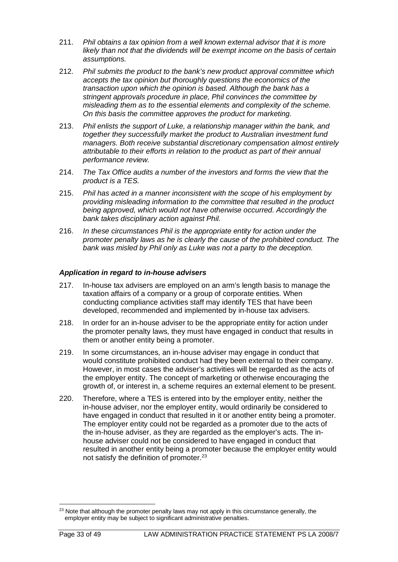- 211. *Phil obtains a tax opinion from a well known external advisor that it is more likely than not that the dividends will be exempt income on the basis of certain assumptions.*
- 212. *Phil submits the product to the bank's new product approval committee which accepts the tax opinion but thoroughly questions the economics of the transaction upon which the opinion is based. Although the bank has a stringent approvals procedure in place, Phil convinces the committee by misleading them as to the essential elements and complexity of the scheme. On this basis the committee approves the product for marketing.*
- 213. *Phil enlists the support of Luke, a relationship manager within the bank, and together they successfully market the product to Australian investment fund managers. Both receive substantial discretionary compensation almost entirely attributable to their efforts in relation to the product as part of their annual performance review.*
- 214. *The Tax Office audits a number of the investors and forms the view that the product is a TES.*
- 215. *Phil has acted in a manner inconsistent with the scope of his employment by providing misleading information to the committee that resulted in the product being approved, which would not have otherwise occurred. Accordingly the bank takes disciplinary action against Phil.*
- 216. *In these circumstances Phil is the appropriate entity for action under the promoter penalty laws as he is clearly the cause of the prohibited conduct. The bank was misled by Phil only as Luke was not a party to the deception.*

## *Application in regard to in-house advisers*

- 217. In-house tax advisers are employed on an arm's length basis to manage the taxation affairs of a company or a group of corporate entities. When conducting compliance activities staff may identify TES that have been developed, recommended and implemented by in-house tax advisers.
- 218. In order for an in-house adviser to be the appropriate entity for action under the promoter penalty laws, they must have engaged in conduct that results in them or another entity being a promoter.
- 219. In some circumstances, an in-house adviser may engage in conduct that would constitute prohibited conduct had they been external to their company. However, in most cases the adviser's activities will be regarded as the acts of the employer entity. The concept of marketing or otherwise encouraging the growth of, or interest in, a scheme requires an external element to be present.
- 220. Therefore, where a TES is entered into by the employer entity, neither the in-house adviser, nor the employer entity, would ordinarily be considered to have engaged in conduct that resulted in it or another entity being a promoter. The employer entity could not be regarded as a promoter due to the acts of the in-house adviser, as they are regarded as the employer's acts. The inhouse adviser could not be considered to have engaged in conduct that resulted in another entity being a promoter because the employer entity would not satisfy the definition of promoter.[23](#page-33-0)

<span id="page-33-0"></span><sup>&</sup>lt;sup>23</sup> Note that although the promoter penalty laws may not apply in this circumstance generally, the employer entity may be subject to significant administrative penalties.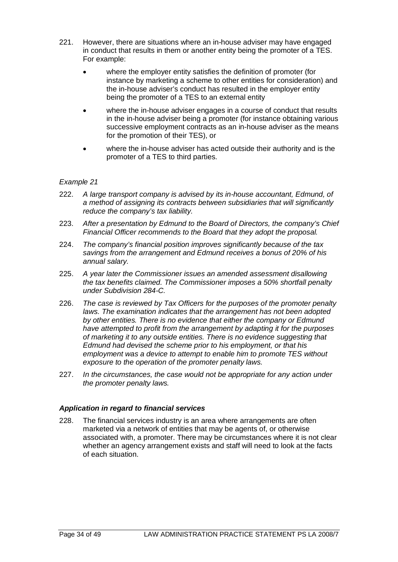- 221. However, there are situations where an in-house adviser may have engaged in conduct that results in them or another entity being the promoter of a TES. For example:
	- where the employer entity satisfies the definition of promoter (for instance by marketing a scheme to other entities for consideration) and the in-house adviser's conduct has resulted in the employer entity being the promoter of a TES to an external entity
	- where the in-house adviser engages in a course of conduct that results in the in-house adviser being a promoter (for instance obtaining various successive employment contracts as an in-house adviser as the means for the promotion of their TES), or
	- where the in-house adviser has acted outside their authority and is the promoter of a TES to third parties.

- 222. *A large transport company is advised by its in-house accountant, Edmund, of a method of assigning its contracts between subsidiaries that will significantly reduce the company's tax liability.*
- 223. *After a presentation by Edmund to the Board of Directors, the company's Chief Financial Officer recommends to the Board that they adopt the proposal.*
- 224. *The company's financial position improves significantly because of the tax savings from the arrangement and Edmund receives a bonus of 20% of his annual salary.*
- 225. *A year later the Commissioner issues an amended assessment disallowing the tax benefits claimed. The Commissioner imposes a 50% shortfall penalty under Subdivision 284-C.*
- 226. *The case is reviewed by Tax Officers for the purposes of the promoter penalty laws. The examination indicates that the arrangement has not been adopted by other entities. There is no evidence that either the company or Edmund have attempted to profit from the arrangement by adapting it for the purposes of marketing it to any outside entities. There is no evidence suggesting that Edmund had devised the scheme prior to his employment, or that his employment was a device to attempt to enable him to promote TES without exposure to the operation of the promoter penalty laws.*
- 227. *In the circumstances, the case would not be appropriate for any action under the promoter penalty laws.*

#### *Application in regard to financial services*

228. The financial services industry is an area where arrangements are often marketed via a network of entities that may be agents of, or otherwise associated with, a promoter. There may be circumstances where it is not clear whether an agency arrangement exists and staff will need to look at the facts of each situation.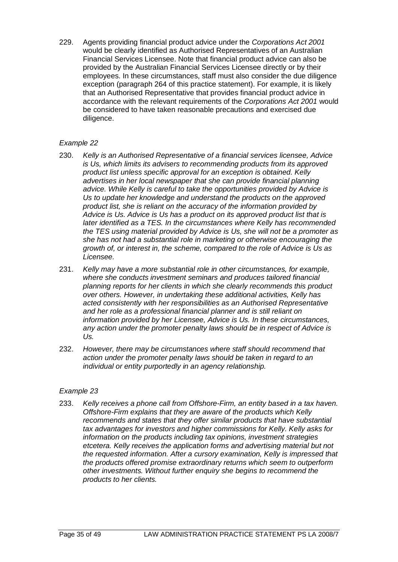229. Agents providing financial product advice under the *Corporations Act 2001* would be clearly identified as Authorised Representatives of an Australian Financial Services Licensee. Note that financial product advice can also be provided by the Australian Financial Services Licensee directly or by their employees. In these circumstances, staff must also consider the due diligence exception (paragraph 264 of this practice statement). For example, it is likely that an Authorised Representative that provides financial product advice in accordance with the relevant requirements of the *Corporations Act 2001* would be considered to have taken reasonable precautions and exercised due diligence.

## *Example 22*

- 230. *Kelly is an Authorised Representative of a financial services licensee, Advice is Us, which limits its advisers to recommending products from its approved product list unless specific approval for an exception is obtained. Kelly advertises in her local newspaper that she can provide financial planning advice. While Kelly is careful to take the opportunities provided by Advice is Us to update her knowledge and understand the products on the approved product list, she is reliant on the accuracy of the information provided by Advice is Us. Advice is Us has a product on its approved product list that is later identified as a TES. In the circumstances where Kelly has recommended the TES using material provided by Advice is Us, she will not be a promoter as she has not had a substantial role in marketing or otherwise encouraging the growth of, or interest in, the scheme, compared to the role of Advice is Us as Licensee.*
- 231. *Kelly may have a more substantial role in other circumstances, for example, where she conducts investment seminars and produces tailored financial planning reports for her clients in which she clearly recommends this product over others. However, in undertaking these additional activities, Kelly has acted consistently with her responsibilities as an Authorised Representative and her role as a professional financial planner and is still reliant on information provided by her Licensee, Advice is Us. In these circumstances, any action under the promoter penalty laws should be in respect of Advice is Us.*
- 232. *However, there may be circumstances where staff should recommend that action under the promoter penalty laws should be taken in regard to an individual or entity purportedly in an agency relationship.*

#### *Example 23*

233. *Kelly receives a phone call from Offshore-Firm, an entity based in a tax haven. Offshore-Firm explains that they are aware of the products which Kelly recommends and states that they offer similar products that have substantial tax advantages for investors and higher commissions for Kelly. Kelly asks for information on the products including tax opinions, investment strategies etcetera. Kelly receives the application forms and advertising material but not the requested information. After a cursory examination, Kelly is impressed that the products offered promise extraordinary returns which seem to outperform other investments. Without further enquiry she begins to recommend the products to her clients.*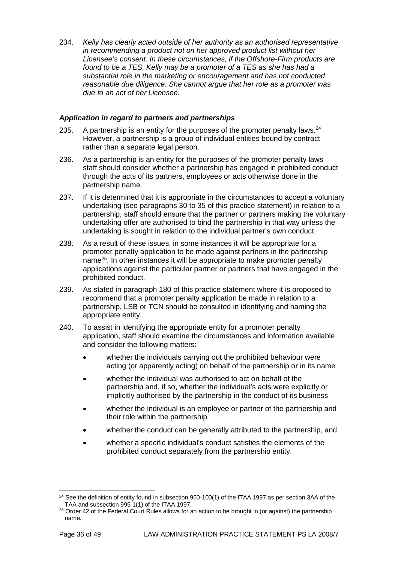234. *Kelly has clearly acted outside of her authority as an authorised representative in recommending a product not on her approved product list without her Licensee's consent. In these circumstances, if the Offshore-Firm products are found to be a TES, Kelly may be a promoter of a TES as she has had a substantial role in the marketing or encouragement and has not conducted reasonable due diligence. She cannot argue that her role as a promoter was due to an act of her Licensee.*

## *Application in regard to partners and partnerships*

- 235. A partnership is an entity for the purposes of the promoter penalty laws.  $24$ However, a partnership is a group of individual entities bound by contract rather than a separate legal person.
- 236. As a partnership is an entity for the purposes of the promoter penalty laws staff should consider whether a partnership has engaged in prohibited conduct through the acts of its partners, employees or acts otherwise done in the partnership name.
- 237. If it is determined that it is appropriate in the circumstances to accept a voluntary undertaking (see paragraphs 30 to 35 of this practice statement) in relation to a partnership, staff should ensure that the partner or partners making the voluntary undertaking offer are authorised to bind the partnership in that way unless the undertaking is sought in relation to the individual partner's own conduct.
- 238. As a result of these issues, in some instances it will be appropriate for a promoter penalty application to be made against partners in the partnership name[25.](#page-36-1) In other instances it will be appropriate to make promoter penalty applications against the particular partner or partners that have engaged in the prohibited conduct.
- 239. As stated in paragraph 180 of this practice statement where it is proposed to recommend that a promoter penalty application be made in relation to a partnership, LSB or TCN should be consulted in identifying and naming the appropriate entity.
- 240. To assist in identifying the appropriate entity for a promoter penalty application, staff should examine the circumstances and information available and consider the following matters:
	- whether the individuals carrying out the prohibited behaviour were acting (or apparently acting) on behalf of the partnership or in its name
	- whether the individual was authorised to act on behalf of the partnership and, if so, whether the individual's acts were explicitly or implicitly authorised by the partnership in the conduct of its business
	- whether the individual is an employee or partner of the partnership and their role within the partnership
	- whether the conduct can be generally attributed to the partnership, and
	- whether a specific individual's conduct satisfies the elements of the prohibited conduct separately from the partnership entity.

<span id="page-36-0"></span> $24$  See the definition of entity found in subsection 960-100(1) of the ITAA 1997 as per section 3AA of the TAA and subsection 995-1(1) of the ITAA 1997.

<span id="page-36-1"></span><sup>&</sup>lt;sup>25</sup> Order 42 of the Federal Court Rules allows for an action to be brought in (or against) the partnership name.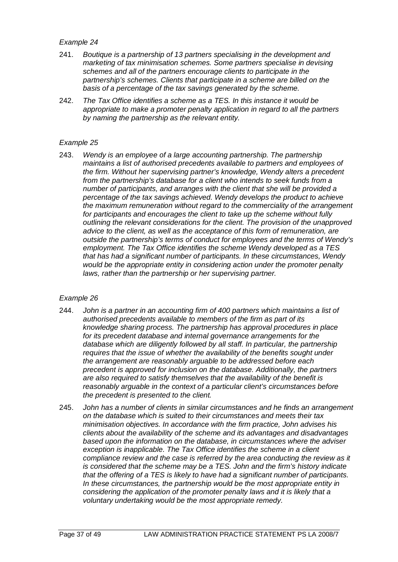- 241. *Boutique is a partnership of 13 partners specialising in the development and marketing of tax minimisation schemes. Some partners specialise in devising schemes and all of the partners encourage clients to participate in the partnership's schemes. Clients that participate in a scheme are billed on the basis of a percentage of the tax savings generated by the scheme.*
- 242. *The Tax Office identifies a scheme as a TES. In this instance it would be appropriate to make a promoter penalty application in regard to all the partners by naming the partnership as the relevant entity.*

#### *Example 25*

243. *Wendy is an employee of a large accounting partnership. The partnership maintains a list of authorised precedents available to partners and employees of the firm. Without her supervising partner's knowledge, Wendy alters a precedent from the partnership's database for a client who intends to seek funds from a number of participants, and arranges with the client that she will be provided a percentage of the tax savings achieved. Wendy develops the product to achieve the maximum remuneration without regard to the commerciality of the arrangement for participants and encourages the client to take up the scheme without fully outlining the relevant considerations for the client. The provision of the unapproved advice to the client, as well as the acceptance of this form of remuneration, are outside the partnership's terms of conduct for employees and the terms of Wendy's employment. The Tax Office identifies the scheme Wendy developed as a TES that has had a significant number of participants. In these circumstances, Wendy would be the appropriate entity in considering action under the promoter penalty laws, rather than the partnership or her supervising partner.*

#### *Example 26*

- 244. *John is a partner in an accounting firm of 400 partners which maintains a list of authorised precedents available to members of the firm as part of its knowledge sharing process. The partnership has approval procedures in place for its precedent database and internal governance arrangements for the database which are diligently followed by all staff. In particular, the partnership requires that the issue of whether the availability of the benefits sought under the arrangement are reasonably arguable to be addressed before each precedent is approved for inclusion on the database. Additionally, the partners are also required to satisfy themselves that the availability of the benefit is reasonably arguable in the context of a particular client's circumstances before the precedent is presented to the client.*
- 245. *John has a number of clients in similar circumstances and he finds an arrangement on the database which is suited to their circumstances and meets their tax minimisation objectives. In accordance with the firm practice, John advises his clients about the availability of the scheme and its advantages and disadvantages based upon the information on the database, in circumstances where the adviser exception is inapplicable. The Tax Office identifies the scheme in a client compliance review and the case is referred by the area conducting the review as it is considered that the scheme may be a TES. John and the firm's history indicate that the offering of a TES is likely to have had a significant number of participants. In these circumstances, the partnership would be the most appropriate entity in considering the application of the promoter penalty laws and it is likely that a voluntary undertaking would be the most appropriate remedy.*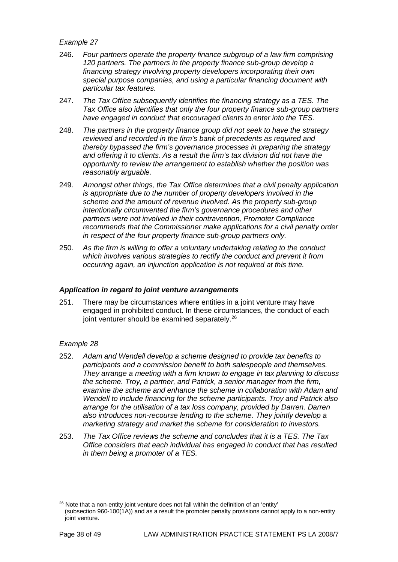- 246. *Four partners operate the property finance subgroup of a law firm comprising 120 partners. The partners in the property finance sub-group develop a financing strategy involving property developers incorporating their own special purpose companies, and using a particular financing document with particular tax features.*
- 247. *The Tax Office subsequently identifies the financing strategy as a TES. The Tax Office also identifies that only the four property finance sub-group partners have engaged in conduct that encouraged clients to enter into the TES.*
- 248. *The partners in the property finance group did not seek to have the strategy reviewed and recorded in the firm's bank of precedents as required and thereby bypassed the firm's governance processes in preparing the strategy and offering it to clients. As a result the firm's tax division did not have the opportunity to review the arrangement to establish whether the position was reasonably arguable.*
- 249. *Amongst other things, the Tax Office determines that a civil penalty application is appropriate due to the number of property developers involved in the scheme and the amount of revenue involved. As the property sub-group intentionally circumvented the firm's governance procedures and other partners were not involved in their contravention, Promoter Compliance recommends that the Commissioner make applications for a civil penalty order in respect of the four property finance sub-group partners only.*
- 250. *As the firm is willing to offer a voluntary undertaking relating to the conduct which involves various strategies to rectify the conduct and prevent it from occurring again, an injunction application is not required at this time.*

#### *Application in regard to joint venture arrangements*

251. There may be circumstances where entities in a joint venture may have engaged in prohibited conduct. In these circumstances, the conduct of each joint venturer should be examined separately.<sup>[26](#page-38-0)</sup>

## *Example 28*

- 252. *Adam and Wendell develop a scheme designed to provide tax benefits to participants and a commission benefit to both salespeople and themselves. They arrange a meeting with a firm known to engage in tax planning to discuss the scheme. Troy, a partner, and Patrick, a senior manager from the firm, examine the scheme and enhance the scheme in collaboration with Adam and Wendell to include financing for the scheme participants. Troy and Patrick also arrange for the utilisation of a tax loss company, provided by Darren. Darren also introduces non-recourse lending to the scheme. They jointly develop a marketing strategy and market the scheme for consideration to investors.*
- 253. *The Tax Office reviews the scheme and concludes that it is a TES. The Tax Office considers that each individual has engaged in conduct that has resulted in them being a promoter of a TES.*

<span id="page-38-0"></span> $26$  Note that a non-entity joint venture does not fall within the definition of an 'entity' (subsection 960-100(1A)) and as a result the promoter penalty provisions cannot apply to a non-entity joint venture.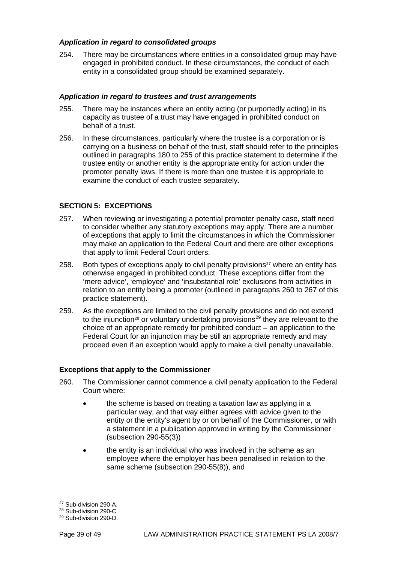## *Application in regard to consolidated groups*

254. There may be circumstances where entities in a consolidated group may have engaged in prohibited conduct. In these circumstances, the conduct of each entity in a consolidated group should be examined separately.

### *Application in regard to trustees and trust arrangements*

- 255. There may be instances where an entity acting (or purportedly acting) in its capacity as trustee of a trust may have engaged in prohibited conduct on behalf of a trust.
- 256. In these circumstances, particularly where the trustee is a corporation or is carrying on a business on behalf of the trust, staff should refer to the principles outlined in paragraphs 180 to 255 of this practice statement to determine if the trustee entity or another entity is the appropriate entity for action under the promoter penalty laws. If there is more than one trustee it is appropriate to examine the conduct of each trustee separately.

## **SECTION 5: EXCEPTIONS**

- 257. When reviewing or investigating a potential promoter penalty case, staff need to consider whether any statutory exceptions may apply. There are a number of exceptions that apply to limit the circumstances in which the Commissioner may make an application to the Federal Court and there are other exceptions that apply to limit Federal Court orders.
- 258. Both types of exceptions apply to civil penalty provisions $27$  where an entity has otherwise engaged in prohibited conduct. These exceptions differ from the 'mere advice', 'employee' and 'insubstantial role' exclusions from activities in relation to an entity being a promoter (outlined in paragraphs 260 to 267 of this practice statement).
- 259. As the exceptions are limited to the civil penalty provisions and do not extend to the injunction<sup>[28](#page-39-1)</sup> or voluntary undertaking provisions<sup>[29](#page-39-2)</sup> they are relevant to the choice of an appropriate remedy for prohibited conduct – an application to the Federal Court for an injunction may be still an appropriate remedy and may proceed even if an exception would apply to make a civil penalty unavailable.

#### **Exceptions that apply to the Commissioner**

- 260. The Commissioner cannot commence a civil penalty application to the Federal Court where:
	- the scheme is based on treating a taxation law as applying in a particular way, and that way either agrees with advice given to the entity or the entity's agent by or on behalf of the Commissioner, or with a statement in a publication approved in writing by the Commissioner (subsection 290-55(3))
	- the entity is an individual who was involved in the scheme as an employee where the employer has been penalised in relation to the same scheme (subsection 290-55(8)), and

<span id="page-39-0"></span><sup>27</sup> Sub-division 290-A.

<span id="page-39-1"></span><sup>28</sup> Sub-division 290-C.

<span id="page-39-2"></span><sup>29</sup> Sub-division 290-D.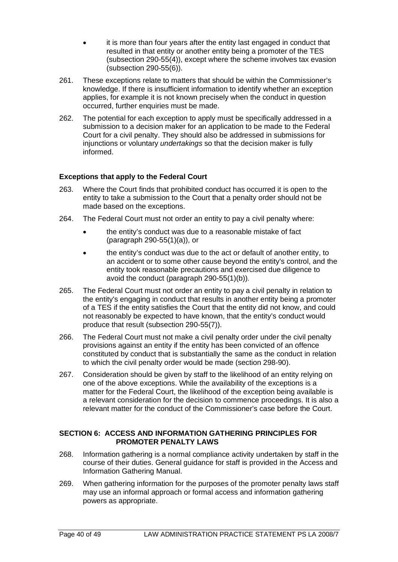- it is more than four years after the entity last engaged in conduct that resulted in that entity or another entity being a promoter of the TES (subsection 290-55(4)), except where the scheme involves tax evasion (subsection 290-55(6)).
- 261. These exceptions relate to matters that should be within the Commissioner's knowledge. If there is insufficient information to identify whether an exception applies, for example it is not known precisely when the conduct in question occurred, further enquiries must be made.
- 262. The potential for each exception to apply must be specifically addressed in a submission to a decision maker for an application to be made to the Federal Court for a civil penalty. They should also be addressed in submissions for injunctions or voluntary *undertakings* so that the decision maker is fully informed.

## **Exceptions that apply to the Federal Court**

- 263. Where the Court finds that prohibited conduct has occurred it is open to the entity to take a submission to the Court that a penalty order should not be made based on the exceptions.
- 264. The Federal Court must not order an entity to pay a civil penalty where:
	- the entity's conduct was due to a reasonable mistake of fact (paragraph 290-55(1)(a)), or
	- the entity's conduct was due to the act or default of another entity, to an accident or to some other cause beyond the entity's control, and the entity took reasonable precautions and exercised due diligence to avoid the conduct (paragraph 290-55(1)(b)).
- 265. The Federal Court must not order an entity to pay a civil penalty in relation to the entity's engaging in conduct that results in another entity being a promoter of a TES if the entity satisfies the Court that the entity did not know, and could not reasonably be expected to have known, that the entity's conduct would produce that result (subsection 290-55(7)).
- 266. The Federal Court must not make a civil penalty order under the civil penalty provisions against an entity if the entity has been convicted of an offence constituted by conduct that is substantially the same as the conduct in relation to which the civil penalty order would be made (section 298-90).
- 267. Consideration should be given by staff to the likelihood of an entity relying on one of the above exceptions. While the availability of the exceptions is a matter for the Federal Court, the likelihood of the exception being available is a relevant consideration for the decision to commence proceedings. It is also a relevant matter for the conduct of the Commissioner's case before the Court.

#### **SECTION 6: ACCESS AND INFORMATION GATHERING PRINCIPLES FOR PROMOTER PENALTY LAWS**

- 268. Information gathering is a normal compliance activity undertaken by staff in the course of their duties. General guidance for staff is provided in the [Access](http://intranet/content.asp?doc=/content/51/51035.htm) and [Information Gathering Manual.](http://intranet/content.asp?doc=/content/51/51035.htm)
- 269. When gathering information for the purposes of the promoter penalty laws staff may use an informal approach or formal access and information gathering powers as appropriate.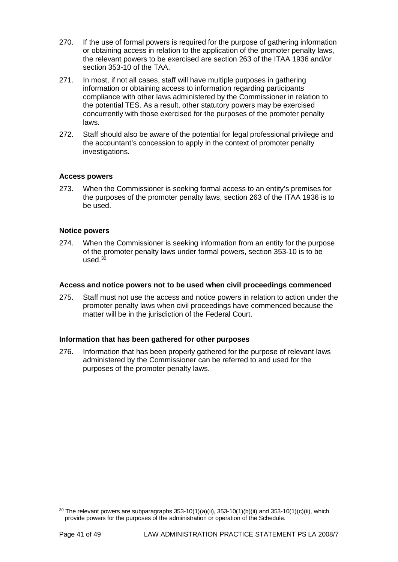- 270. If the use of formal powers is required for the purpose of gathering information or obtaining access in relation to the application of the promoter penalty laws, the relevant powers to be exercised are section 263 of the ITAA 1936 and/or section 353-10 of the TAA.
- 271. In most, if not all cases, staff will have multiple purposes in gathering information or obtaining access to information regarding participants compliance with other laws administered by the Commissioner in relation to the potential TES. As a result, other statutory powers may be exercised concurrently with those exercised for the purposes of the promoter penalty laws.
- 272. Staff should also be aware of the potential for legal professional privilege and the accountant's concession to apply in the context of promoter penalty investigations.

## **Access powers**

273. When the Commissioner is seeking formal access to an entity's premises for the purposes of the promoter penalty laws, section 263 of the ITAA 1936 is to be used.

## **Notice powers**

274. When the Commissioner is seeking information from an entity for the purpose of the promoter penalty laws under formal powers, section 353-10 is to be used. $30$ 

#### **Access and notice powers not to be used when civil proceedings commenced**

275. Staff must not use the access and notice powers in relation to action under the promoter penalty laws when civil proceedings have commenced because the matter will be in the jurisdiction of the Federal Court.

#### **Information that has been gathered for other purposes**

276. Information that has been properly gathered for the purpose of relevant laws administered by the Commissioner can be referred to and used for the purposes of the promoter penalty laws.

<span id="page-41-0"></span> $30$  The relevant powers are subparagraphs 353-10(1)(a)(ii), 353-10(1)(b)(ii) and 353-10(1)(c)(ii), which provide powers for the purposes of the administration or operation of the Schedule.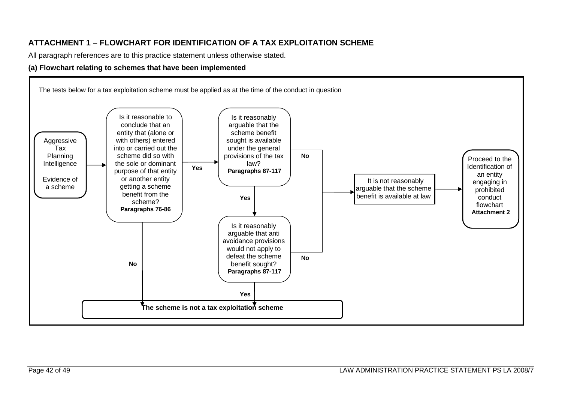# **ATTACHMENT 1 – FLOWCHART FOR IDENTIFICATION OF A TAX EXPLOITATION SCHEME**

All paragraph references are to this practice statement unless otherwise stated.

### **(a) Flowchart relating to schemes that have been implemented**

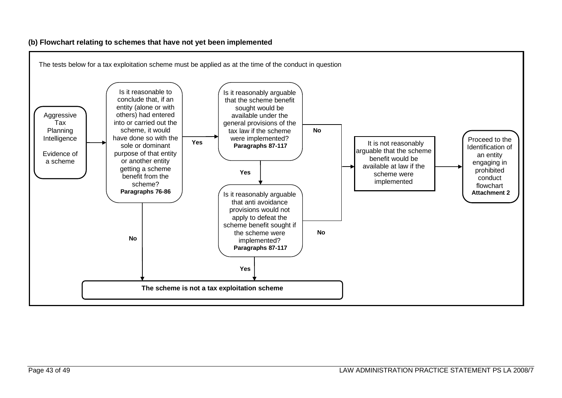## **(b) Flowchart relating to schemes that have not yet been implemented**

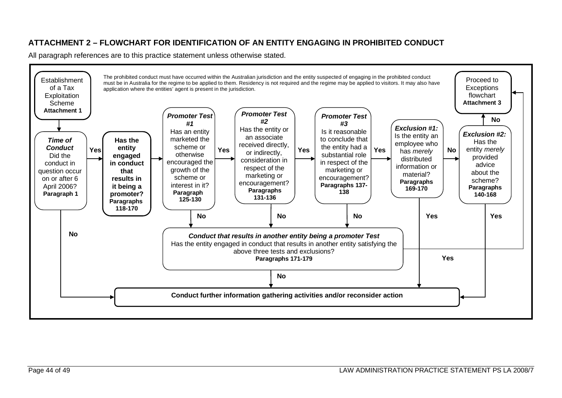# **ATTACHMENT 2 – FLOWCHART FOR IDENTIFICATION OF AN ENTITY ENGAGING IN PROHIBITED CONDUCT**

All paragraph references are to this practice statement unless otherwise stated.

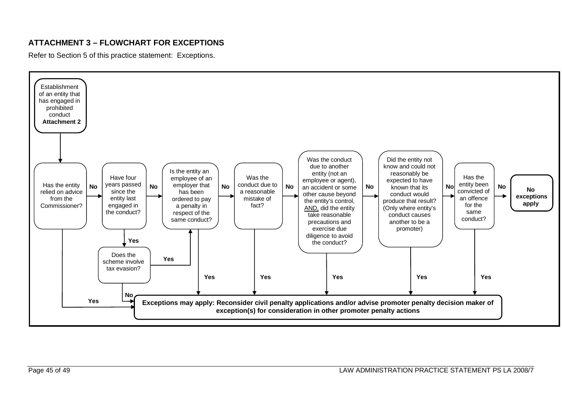## **ATTACHMENT 3 – FLOWCHART FOR EXCEPTIONS**

Refer to Section 5 of this practice statement: Exceptions.

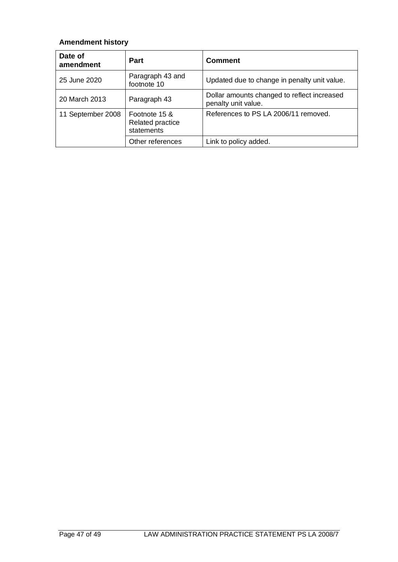# **Amendment history**

| Date of<br>amendment | <b>Part</b>                                            | <b>Comment</b>                                                     |
|----------------------|--------------------------------------------------------|--------------------------------------------------------------------|
| 25 June 2020         | Paragraph 43 and<br>footnote 10                        | Updated due to change in penalty unit value.                       |
| 20 March 2013        | Paragraph 43                                           | Dollar amounts changed to reflect increased<br>penalty unit value. |
| 11 September 2008    | Footnote 15 &<br><b>Related practice</b><br>statements | References to PS LA 2006/11 removed.                               |
|                      | Other references                                       | Link to policy added.                                              |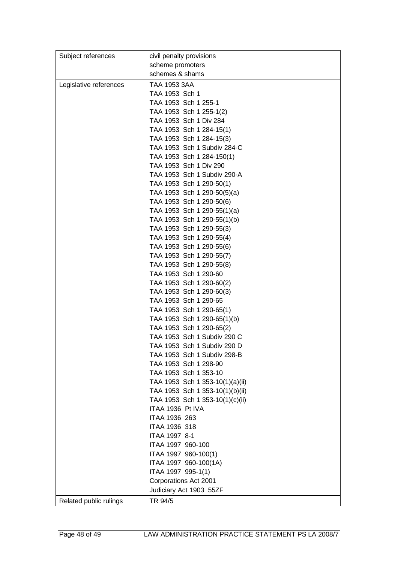| Subject references     | civil penalty provisions                                |
|------------------------|---------------------------------------------------------|
|                        | scheme promoters                                        |
|                        | schemes & shams                                         |
| Legislative references | TAA 1953 3AA                                            |
|                        | TAA 1953 Sch 1                                          |
|                        | TAA 1953 Sch 1 255-1                                    |
|                        | TAA 1953 Sch 1 255-1(2)                                 |
|                        | TAA 1953 Sch 1 Div 284                                  |
|                        | TAA 1953 Sch 1 284-15(1)                                |
|                        | TAA 1953 Sch 1 284-15(3)                                |
|                        | TAA 1953 Sch 1 Subdiv 284-C                             |
|                        | TAA 1953 Sch 1 284-150(1)                               |
|                        | TAA 1953 Sch 1 Div 290                                  |
|                        | TAA 1953 Sch 1 Subdiv 290-A                             |
|                        | TAA 1953 Sch 1 290-50(1)                                |
|                        | TAA 1953 Sch 1 290-50(5)(a)                             |
|                        | TAA 1953 Sch 1 290-50(6)                                |
|                        | TAA 1953 Sch 1 290-55(1)(a)                             |
|                        | TAA 1953 Sch 1 290-55(1)(b)                             |
|                        | TAA 1953 Sch 1 290-55(3)                                |
|                        | TAA 1953 Sch 1 290-55(4)                                |
|                        | TAA 1953 Sch 1 290-55(6)                                |
|                        | TAA 1953 Sch 1 290-55(7)                                |
|                        | TAA 1953 Sch 1 290-55(8)                                |
|                        | TAA 1953 Sch 1 290-60                                   |
|                        | TAA 1953 Sch 1 290-60(2)                                |
|                        | TAA 1953 Sch 1 290-60(3)                                |
|                        | TAA 1953 Sch 1 290-65                                   |
|                        | TAA 1953 Sch 1 290-65(1)                                |
|                        | TAA 1953 Sch 1 290-65(1)(b)                             |
|                        | TAA 1953 Sch 1 290-65(2)<br>TAA 1953 Sch 1 Subdiv 290 C |
|                        | TAA 1953 Sch 1 Subdiv 290 D                             |
|                        | TAA 1953 Sch 1 Subdiv 298-B                             |
|                        | TAA 1953 Sch 1 298-90                                   |
|                        | TAA 1953 Sch 1 353-10                                   |
|                        | TAA 1953 Sch 1 353-10(1)(a)(ii)                         |
|                        | TAA 1953 Sch 1 353-10(1)(b)(ii)                         |
|                        | TAA 1953 Sch 1 353-10(1)(c)(ii)                         |
|                        | ITAA 1936 Pt IVA                                        |
|                        | ITAA 1936 263                                           |
|                        | <b>ITAA 1936 318</b>                                    |
|                        | ITAA 1997 8-1                                           |
|                        | ITAA 1997 960-100                                       |
|                        | ITAA 1997 960-100(1)                                    |
|                        | ITAA 1997 960-100(1A)                                   |
|                        | ITAA 1997 995-1(1)                                      |
|                        | Corporations Act 2001                                   |
|                        | Judiciary Act 1903 55ZF                                 |
| Related public rulings | TR 94/5                                                 |